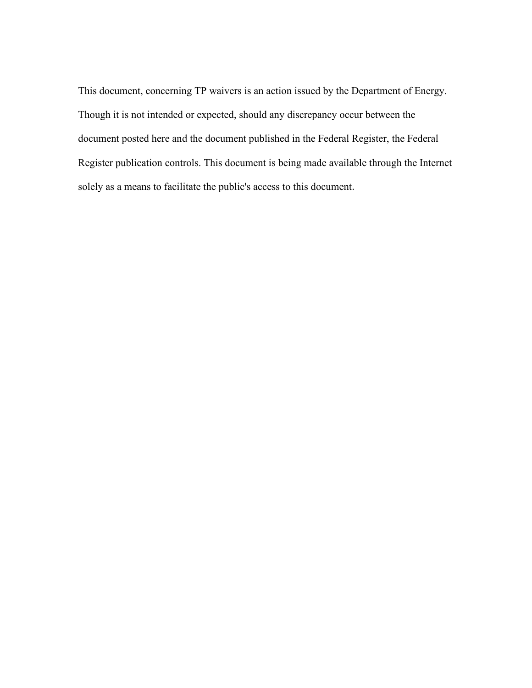This document, concerning TP waivers is an action issued by the Department of Energy. Though it is not intended or expected, should any discrepancy occur between the document posted here and the document published in the Federal Register, the Federal Register publication controls. This document is being made available through the Internet solely as a means to facilitate the public's access to this document.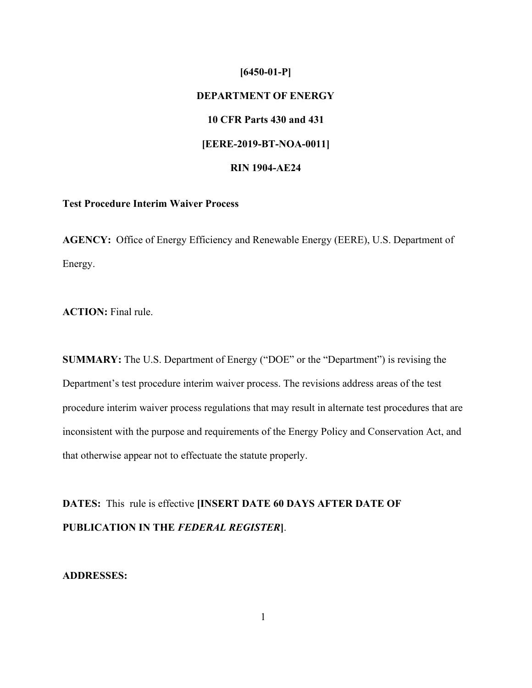# **[6450-01-P] DEPARTMENT OF ENERGY 10 CFR Parts 430 and 431 [EERE-2019-BT-NOA-0011] RIN 1904-AE24**

## **Test Procedure Interim Waiver Process**

**AGENCY:** Office of Energy Efficiency and Renewable Energy (EERE), U.S. Department of Energy.

**ACTION:** Final rule.

**SUMMARY:** The U.S. Department of Energy ("DOE" or the "Department") is revising the Department's test procedure interim waiver process. The revisions address areas of the test procedure interim waiver process regulations that may result in alternate test procedures that are inconsistent with the purpose and requirements of the Energy Policy and Conservation Act, and that otherwise appear not to effectuate the statute properly.

**DATES:** This rule is effective **[INSERT DATE 60 DAYS AFTER DATE OF PUBLICATION IN THE** *FEDERAL REGISTER***]**.

## **ADDRESSES:**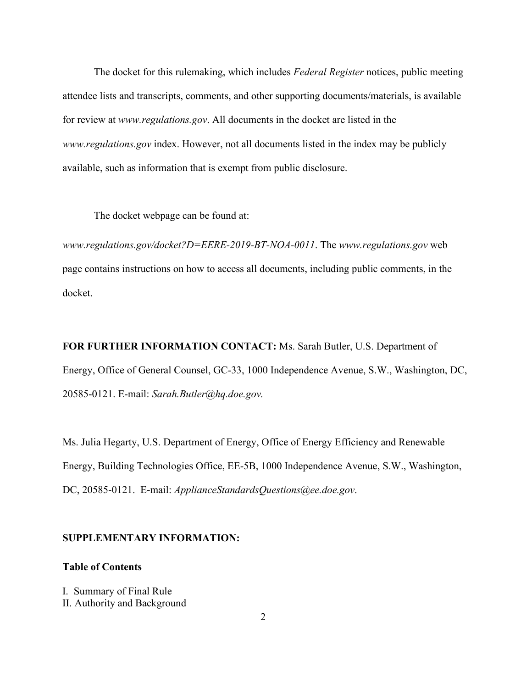The docket for this rulemaking, which includes *Federal Register* notices, public meeting attendee lists and transcripts, comments, and other supporting documents/materials, is available for review at *[www.regulations.gov](http://www.regulations.gov/)*. All documents in the docket are listed in the *[www.regulations.gov](http://www.regulations.gov/)* index. However, not all documents listed in the index may be publicly available, such as information that is exempt from public disclosure.

The docket webpage can be found at:

*[www.regulations.gov/docket?D=EERE-2019-BT-NOA-0011](http://www.regulations.gov/docket?D=EERE-2019-BT-NOA-0011)*. The *[www.regulations.gov](http://www.regulations.gov/)* web page contains instructions on how to access all documents, including public comments, in the docket.

**FOR FURTHER INFORMATION CONTACT:** Ms. Sarah Butler, U.S. Department of Energy, Office of General Counsel, GC-33, 1000 Independence Avenue, S.W., Washington, DC, 20585-0121. E-mail: *[Sarah.Butler@hq.doe.gov.](mailto:Sarah.Butler@hq.doe.gov)*

Ms. Julia Hegarty, U.S. Department of Energy, Office of Energy Efficiency and Renewable Energy, Building Technologies Office, EE-5B, 1000 Independence Avenue, S.W., Washington, DC, 20585-0121. E-mail: *[ApplianceStandardsQuestions@ee.doe.gov](mailto:ApplianceStandardsQuestions@ee.doe.gov)*.

#### **SUPPLEMENTARY INFORMATION:**

#### **Table of Contents**

I. Summary of Final Rule II. Authority and Background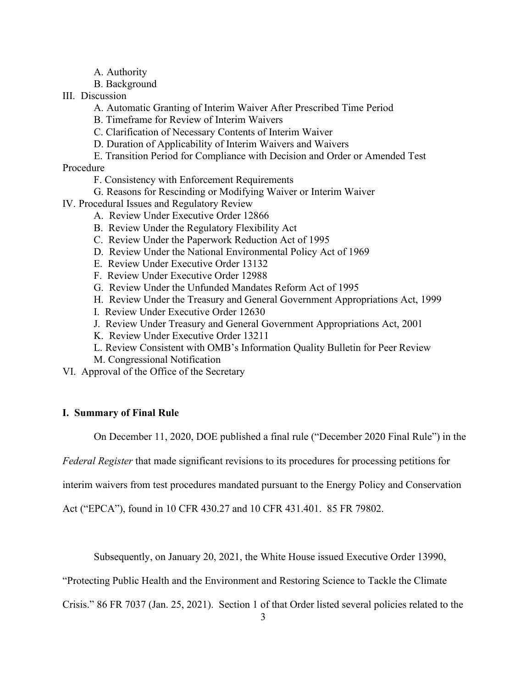- A. Authority
- B. Background
- III. Discussion
	- A. Automatic Granting of Interim Waiver After Prescribed Time Period
	- B. Timeframe for Review of Interim Waivers
	- C. Clarification of Necessary Contents of Interim Waiver
	- D. Duration of Applicability of Interim Waivers and Waivers
- E. Transition Period for Compliance with Decision and Order or Amended Test Procedure
	- F. Consistency with Enforcement Requirements
	- G. Reasons for Rescinding or Modifying Waiver or Interim Waiver
- IV. Procedural Issues and Regulatory Review
	- A. Review Under Executive Order 12866
	- B. Review Under the Regulatory Flexibility Act
	- C. Review Under the Paperwork Reduction Act of 1995
	- D. Review Under the National Environmental Policy Act of 1969
	- E. Review Under Executive Order 13132
	- F. Review Under Executive Order 12988
	- G. Review Under the Unfunded Mandates Reform Act of 1995
	- H. Review Under the Treasury and General Government Appropriations Act, 1999
	- I. Review Under Executive Order 12630
	- J. Review Under Treasury and General Government Appropriations Act, 2001
	- K. Review Under Executive Order 13211
	- L. Review Consistent with OMB's Information Quality Bulletin for Peer Review
	- M. Congressional Notification
- VI. Approval of the Office of the Secretary

## **I. Summary of Final Rule**

On December 11, 2020, DOE published a final rule ("December 2020 Final Rule") in the

*Federal Register* that made significant revisions to its procedures for processing petitions for

interim waivers from test procedures mandated pursuant to the Energy Policy and Conservation

Act ("EPCA"), found in 10 CFR 430.27 and 10 CFR 431.401. 85 FR 79802.

Subsequently, on January 20, 2021, the White House issued Executive Order 13990,

"Protecting Public Health and the Environment and Restoring Science to Tackle the Climate

Crisis." 86 FR 7037 (Jan. 25, 2021). Section 1 of that Order listed several policies related to the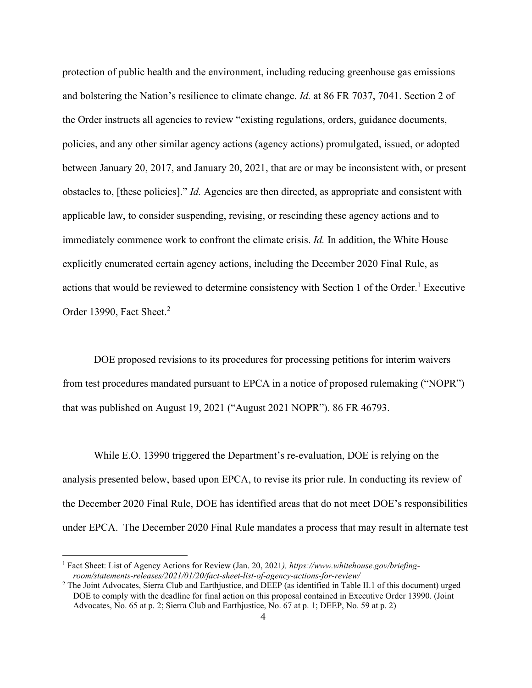protection of public health and the environment, including reducing greenhouse gas emissions and bolstering the Nation's resilience to climate change. *Id.* at 86 FR 7037, 7041. Section 2 of the Order instructs all agencies to review "existing regulations, orders, guidance documents, policies, and any other similar agency actions (agency actions) promulgated, issued, or adopted between January 20, 2017, and January 20, 2021, that are or may be inconsistent with, or present obstacles to, [these policies]." *Id.* Agencies are then directed, as appropriate and consistent with applicable law, to consider suspending, revising, or rescinding these agency actions and to immediately commence work to confront the climate crisis. *Id.* In addition, the White House explicitly enumerated certain agency actions, including the December 2020 Final Rule, as actions that would be reviewed to determine consistency with Section 1 of the Order.<sup>1</sup> Executive Order 13990, Fact Sheet.<sup>2</sup>

DOE proposed revisions to its procedures for processing petitions for interim waivers from test procedures mandated pursuant to EPCA in a notice of proposed rulemaking ("NOPR") that was published on August 19, 2021 ("August 2021 NOPR"). 86 FR 46793.

While E.O. 13990 triggered the Department's re-evaluation, DOE is relying on the analysis presented below, based upon EPCA, to revise its prior rule. In conducting its review of the December 2020 Final Rule, DOE has identified areas that do not meet DOE's responsibilities under EPCA. The December 2020 Final Rule mandates a process that may result in alternate test

<sup>1</sup> Fact Sheet: List of Agency Actions for Review (Jan. 20, 2021*), http[s://www.whitehouse.gov/briefing](http://www.whitehouse.gov/briefing-)room/statements-releases/2021/01/20/fact-sheet-list-of-agency-actions-for-review/*

<sup>2</sup> The Joint Advocates, Sierra Club and Earthjustice, and DEEP (as identified in Table II.1 of this document) urged DOE to comply with the deadline for final action on this proposal contained in Executive Order 13990. (Joint Advocates, No. 65 at p. 2; Sierra Club and Earthjustice, No. 67 at p. 1; DEEP, No. 59 at p. 2)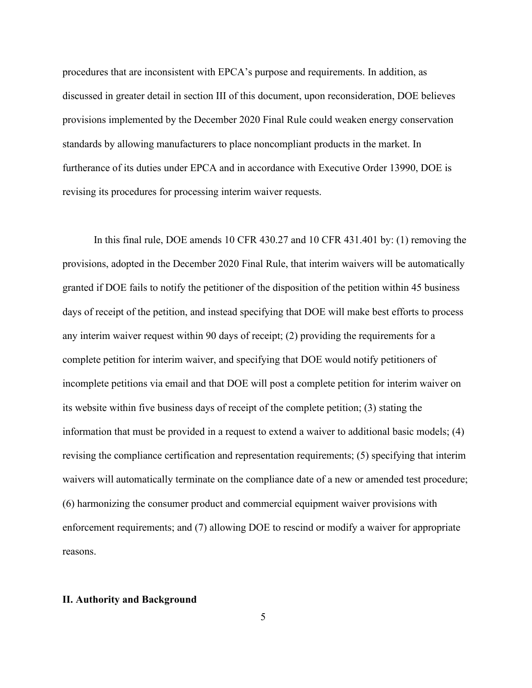procedures that are inconsistent with EPCA's purpose and requirements. In addition, as discussed in greater detail in section III of this document, upon reconsideration, DOE believes provisions implemented by the December 2020 Final Rule could weaken energy conservation standards by allowing manufacturers to place noncompliant products in the market. In furtherance of its duties under EPCA and in accordance with Executive Order 13990, DOE is revising its procedures for processing interim waiver requests.

In this final rule, DOE amends 10 CFR 430.27 and 10 CFR 431.401 by: (1) removing the provisions, adopted in the December 2020 Final Rule, that interim waivers will be automatically granted if DOE fails to notify the petitioner of the disposition of the petition within 45 business days of receipt of the petition, and instead specifying that DOE will make best efforts to process any interim waiver request within 90 days of receipt; (2) providing the requirements for a complete petition for interim waiver, and specifying that DOE would notify petitioners of incomplete petitions via email and that DOE will post a complete petition for interim waiver on its website within five business days of receipt of the complete petition; (3) stating the information that must be provided in a request to extend a waiver to additional basic models; (4) revising the compliance certification and representation requirements; (5) specifying that interim waivers will automatically terminate on the compliance date of a new or amended test procedure; (6) harmonizing the consumer product and commercial equipment waiver provisions with enforcement requirements; and (7) allowing DOE to rescind or modify a waiver for appropriate reasons.

#### **II. Authority and Background**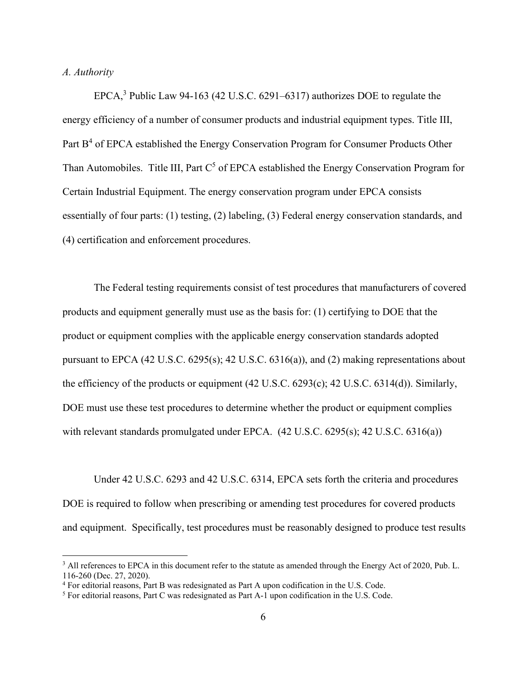#### *A. Authority*

EPCA,<sup>3</sup> Public Law 94-163 (42 U.S.C. 6291–6317) authorizes DOE to regulate the energy efficiency of a number of consumer products and industrial equipment types. Title III, Part B<sup>4</sup> of EPCA established the Energy Conservation Program for Consumer Products Other Than Automobiles. Title III, Part  $C^5$  of EPCA established the Energy Conservation Program for Certain Industrial Equipment. The energy conservation program under EPCA consists essentially of four parts: (1) testing, (2) labeling, (3) Federal energy conservation standards, and (4) certification and enforcement procedures.

The Federal testing requirements consist of test procedures that manufacturers of covered products and equipment generally must use as the basis for: (1) certifying to DOE that the product or equipment complies with the applicable energy conservation standards adopted pursuant to EPCA (42 U.S.C. 6295(s); 42 U.S.C. 6316(a)), and (2) making representations about the efficiency of the products or equipment (42 U.S.C. 6293(c); 42 U.S.C. 6314(d)). Similarly, DOE must use these test procedures to determine whether the product or equipment complies with relevant standards promulgated under EPCA. (42 U.S.C. 6295(s); 42 U.S.C. 6316(a))

Under 42 U.S.C. 6293 and 42 U.S.C. 6314, EPCA sets forth the criteria and procedures DOE is required to follow when prescribing or amending test procedures for covered products and equipment. Specifically, test procedures must be reasonably designed to produce test results

<sup>&</sup>lt;sup>3</sup> All references to EPCA in this document refer to the statute as amended through the Energy Act of 2020, Pub. L. 116-260 (Dec. 27, 2020).

<sup>4</sup> For editorial reasons, Part B was redesignated as Part A upon codification in the U.S. Code.

<sup>5</sup> For editorial reasons, Part C was redesignated as Part A-1 upon codification in the U.S. Code.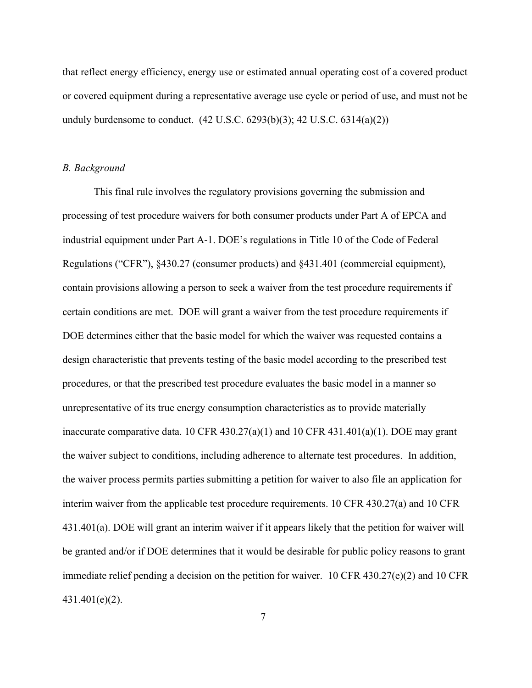that reflect energy efficiency, energy use or estimated annual operating cost of a covered product or covered equipment during a representative average use cycle or period of use, and must not be unduly burdensome to conduct.  $(42 \text{ U.S.C. } 6293(b)(3); 42 \text{ U.S.C. } 6314(a)(2))$ 

#### *B. Background*

This final rule involves the regulatory provisions governing the submission and processing of test procedure waivers for both consumer products under Part A of EPCA and industrial equipment under Part A-1. DOE's regulations in Title 10 of the Code of Federal Regulations ("CFR"), §430.27 (consumer products) and §431.401 (commercial equipment), contain provisions allowing a person to seek a waiver from the test procedure requirements if certain conditions are met. DOE will grant a waiver from the test procedure requirements if DOE determines either that the basic model for which the waiver was requested contains a design characteristic that prevents testing of the basic model according to the prescribed test procedures, or that the prescribed test procedure evaluates the basic model in a manner so unrepresentative of its true energy consumption characteristics as to provide materially inaccurate comparative data. 10 CFR 430.27(a)(1) and 10 CFR 431.401(a)(1). DOE may grant the waiver subject to conditions, including adherence to alternate test procedures. In addition, the waiver process permits parties submitting a petition for waiver to also file an application for interim waiver from the applicable test procedure requirements. 10 CFR 430.27(a) and 10 CFR 431.401(a). DOE will grant an interim waiver if it appears likely that the petition for waiver will be granted and/or if DOE determines that it would be desirable for public policy reasons to grant immediate relief pending a decision on the petition for waiver. 10 CFR 430.27(e)(2) and 10 CFR 431.401(e)(2).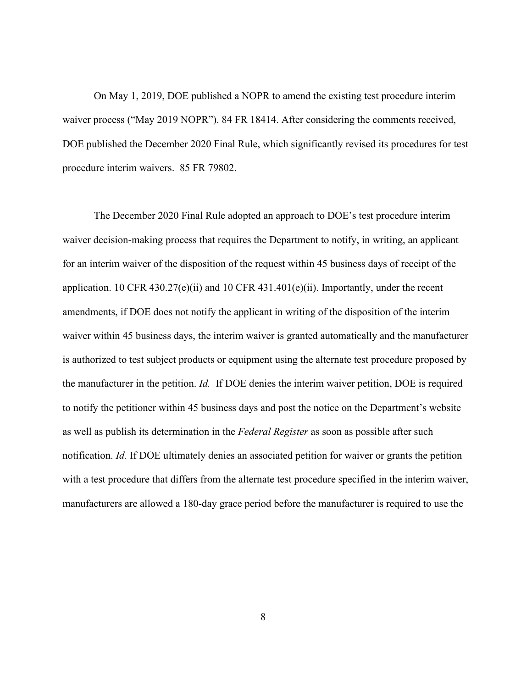On May 1, 2019, DOE published a NOPR to amend the existing test procedure interim waiver process ("May 2019 NOPR"). 84 FR 18414. After considering the comments received, DOE published the December 2020 Final Rule, which significantly revised its procedures for test procedure interim waivers. 85 FR 79802.

The December 2020 Final Rule adopted an approach to DOE's test procedure interim waiver decision-making process that requires the Department to notify, in writing, an applicant for an interim waiver of the disposition of the request within 45 business days of receipt of the application. 10 CFR 430.27(e)(ii) and 10 CFR 431.401(e)(ii). Importantly, under the recent amendments, if DOE does not notify the applicant in writing of the disposition of the interim waiver within 45 business days, the interim waiver is granted automatically and the manufacturer is authorized to test subject products or equipment using the alternate test procedure proposed by the manufacturer in the petition. *Id.* If DOE denies the interim waiver petition, DOE is required to notify the petitioner within 45 business days and post the notice on the Department's website as well as publish its determination in the *Federal Register* as soon as possible after such notification. *Id.* If DOE ultimately denies an associated petition for waiver or grants the petition with a test procedure that differs from the alternate test procedure specified in the interim waiver, manufacturers are allowed a 180-day grace period before the manufacturer is required to use the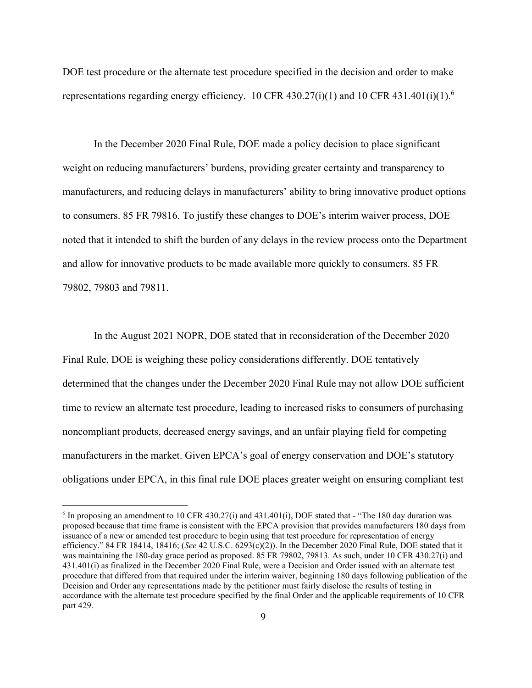DOE test procedure or the alternate test procedure specified in the decision and order to make representations regarding energy efficiency. 10 CFR 430.27(i)(1) and 10 CFR 431.401(i)(1).<sup>6</sup>

In the December 2020 Final Rule, DOE made a policy decision to place significant weight on reducing manufacturers' burdens, providing greater certainty and transparency to manufacturers, and reducing delays in manufacturers' ability to bring innovative product options to consumers. 85 FR 79816. To justify these changes to DOE's interim waiver process, DOE noted that it intended to shift the burden of any delays in the review process onto the Department and allow for innovative products to be made available more quickly to consumers. 85 FR 79802, 79803 and 79811.

In the August 2021 NOPR, DOE stated that in reconsideration of the December 2020 Final Rule, DOE is weighing these policy considerations differently. DOE tentatively determined that the changes under the December 2020 Final Rule may not allow DOE sufficient time to review an alternate test procedure, leading to increased risks to consumers of purchasing noncompliant products, decreased energy savings, and an unfair playing field for competing manufacturers in the market. Given EPCA's goal of energy conservation and DOE's statutory obligations under EPCA, in this final rule DOE places greater weight on ensuring compliant test

 $6$  In proposing an amendment to 10 CFR 430.27(i) and 431.401(i), DOE stated that - "The 180 day duration was proposed because that time frame is consistent with the EPCA provision that provides manufacturers 180 days from issuance of a new or amended test procedure to begin using that test procedure for representation of energy efficiency." 84 FR 18414, 18416; (*See* 42 U.S.C. 6293(c)(2)). In the December 2020 Final Rule, DOE stated that it was maintaining the 180-day grace period as proposed. 85 FR 79802, 79813. As such, under 10 CFR 430.27(i) and 431.401(i) as finalized in the December 2020 Final Rule, were a Decision and Order issued with an alternate test procedure that differed from that required under the interim waiver, beginning 180 days following publication of the Decision and Order any representations made by the petitioner must fairly disclose the results of testing in accordance with the alternate test procedure specified by the final Order and the applicable requirements of 10 CFR part 429.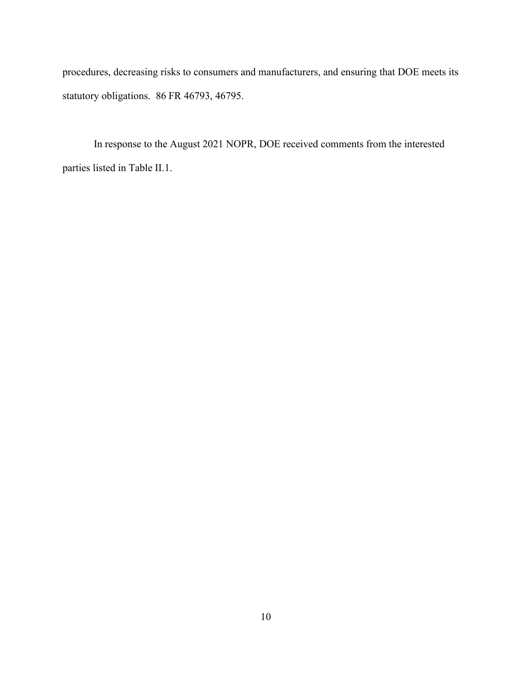procedures, decreasing risks to consumers and manufacturers, and ensuring that DOE meets its statutory obligations. 86 FR 46793, 46795.

In response to the August 2021 NOPR, DOE received comments from the interested parties listed in Table II.1.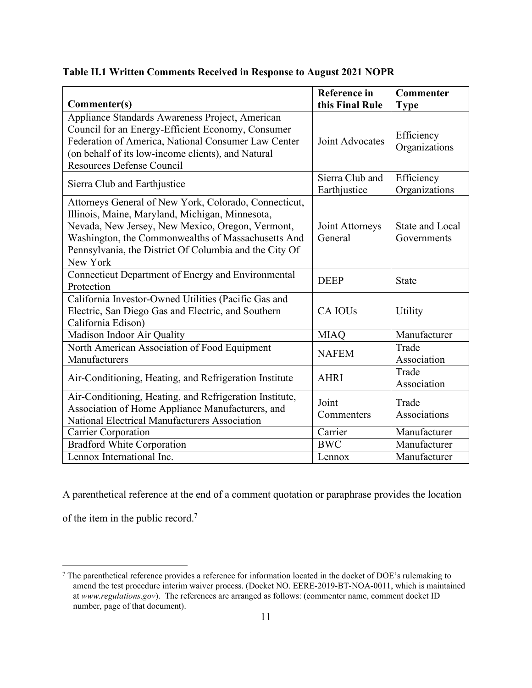|                                                                                                                                                                                                                                                                                          | <b>Reference</b> in<br>this Final Rule | <b>Commenter</b>                      |
|------------------------------------------------------------------------------------------------------------------------------------------------------------------------------------------------------------------------------------------------------------------------------------------|----------------------------------------|---------------------------------------|
| Commenter(s)                                                                                                                                                                                                                                                                             |                                        | <b>Type</b>                           |
| Appliance Standards Awareness Project, American<br>Council for an Energy-Efficient Economy, Consumer<br>Federation of America, National Consumer Law Center<br>(on behalf of its low-income clients), and Natural<br><b>Resources Defense Council</b>                                    | Joint Advocates                        | Efficiency<br>Organizations           |
| Sierra Club and Earthjustice                                                                                                                                                                                                                                                             | Sierra Club and<br>Earthjustice        | Efficiency<br>Organizations           |
| Attorneys General of New York, Colorado, Connecticut,<br>Illinois, Maine, Maryland, Michigan, Minnesota,<br>Nevada, New Jersey, New Mexico, Oregon, Vermont,<br>Washington, the Commonwealths of Massachusetts And<br>Pennsylvania, the District Of Columbia and the City Of<br>New York | Joint Attorneys<br>General             | <b>State and Local</b><br>Governments |
| Connecticut Department of Energy and Environmental<br>Protection                                                                                                                                                                                                                         | <b>DEEP</b>                            | <b>State</b>                          |
| California Investor-Owned Utilities (Pacific Gas and<br>Electric, San Diego Gas and Electric, and Southern<br>California Edison)                                                                                                                                                         | <b>CA IOUs</b>                         | Utility                               |
| Madison Indoor Air Quality                                                                                                                                                                                                                                                               | <b>MIAQ</b>                            | Manufacturer                          |
| North American Association of Food Equipment<br>Manufacturers                                                                                                                                                                                                                            | <b>NAFEM</b>                           | Trade<br>Association                  |
| Air-Conditioning, Heating, and Refrigeration Institute                                                                                                                                                                                                                                   | <b>AHRI</b>                            | Trade<br>Association                  |
| Air-Conditioning, Heating, and Refrigeration Institute,<br>Association of Home Appliance Manufacturers, and<br>National Electrical Manufacturers Association                                                                                                                             | Joint<br>Commenters                    | Trade<br>Associations                 |
| Carrier Corporation                                                                                                                                                                                                                                                                      | $\overline{\text{C}}$ arrier           | Manufacturer                          |
| <b>Bradford White Corporation</b>                                                                                                                                                                                                                                                        | <b>BWC</b>                             | Manufacturer                          |
| Lennox International Inc.                                                                                                                                                                                                                                                                | Lennox                                 | Manufacturer                          |

## **Table II.1 Written Comments Received in Response to August 2021 NOPR**

A parenthetical reference at the end of a comment quotation or paraphrase provides the location

of the item in the public record.<sup>7</sup>

<sup>7</sup> The parenthetical reference provides a reference for information located in the docket of DOE's rulemaking to amend the test procedure interim waiver process. (Docket NO. EERE-2019-BT-NOA-0011, which is maintained at *www.regulations.gov*). The references are arranged as follows: (commenter name, comment docket ID number, page of that document).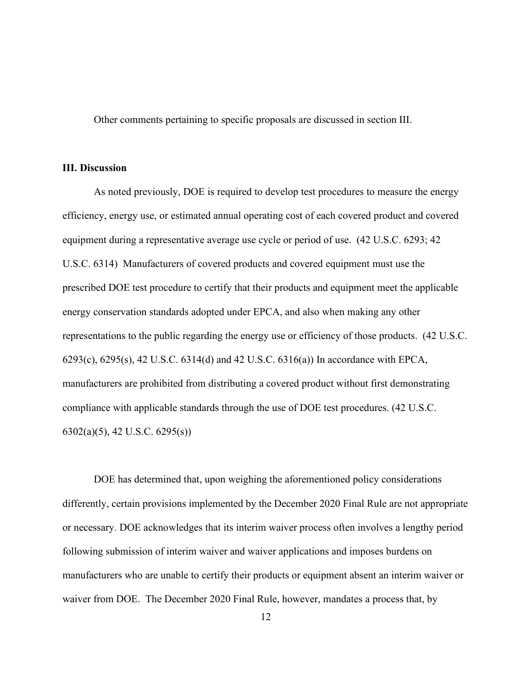Other comments pertaining to specific proposals are discussed in section III.

## **III. Discussion**

As noted previously, DOE is required to develop test procedures to measure the energy efficiency, energy use, or estimated annual operating cost of each covered product and covered equipment during a representative average use cycle or period of use. (42 U.S.C. 6293; 42 U.S.C. 6314) Manufacturers of covered products and covered equipment must use the prescribed DOE test procedure to certify that their products and equipment meet the applicable energy conservation standards adopted under EPCA, and also when making any other representations to the public regarding the energy use or efficiency of those products. (42 U.S.C. 6293(c), 6295(s), 42 U.S.C. 6314(d) and 42 U.S.C. 6316(a)) In accordance with EPCA, manufacturers are prohibited from distributing a covered product without first demonstrating compliance with applicable standards through the use of DOE test procedures. (42 U.S.C. 6302(a)(5), 42 U.S.C. 6295(s))

DOE has determined that, upon weighing the aforementioned policy considerations differently, certain provisions implemented by the December 2020 Final Rule are not appropriate or necessary. DOE acknowledges that its interim waiver process often involves a lengthy period following submission of interim waiver and waiver applications and imposes burdens on manufacturers who are unable to certify their products or equipment absent an interim waiver or waiver from DOE. The December 2020 Final Rule, however, mandates a process that, by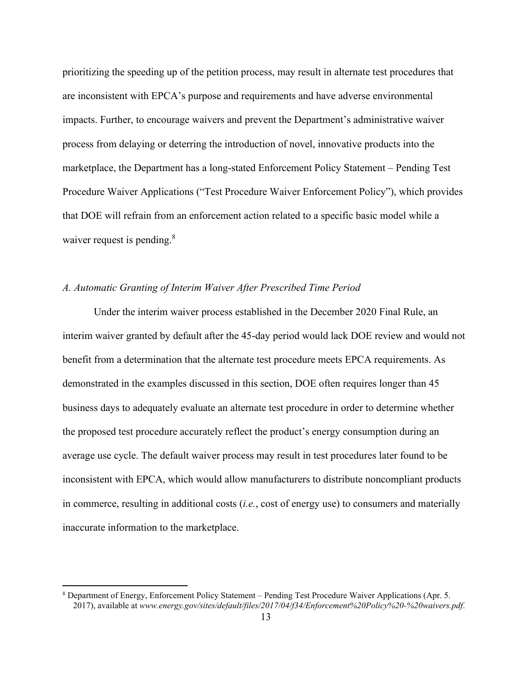prioritizing the speeding up of the petition process, may result in alternate test procedures that are inconsistent with EPCA's purpose and requirements and have adverse environmental impacts. Further, to encourage waivers and prevent the Department's administrative waiver process from delaying or deterring the introduction of novel, innovative products into the marketplace, the Department has a long-stated Enforcement Policy Statement – Pending Test Procedure Waiver Applications ("Test Procedure Waiver Enforcement Policy"), which provides that DOE will refrain from an enforcement action related to a specific basic model while a waiver request is pending.<sup>8</sup>

## *A. Automatic Granting of Interim Waiver After Prescribed Time Period*

Under the interim waiver process established in the December 2020 Final Rule, an interim waiver granted by default after the 45-day period would lack DOE review and would not benefit from a determination that the alternate test procedure meets EPCA requirements. As demonstrated in the examples discussed in this section, DOE often requires longer than 45 business days to adequately evaluate an alternate test procedure in order to determine whether the proposed test procedure accurately reflect the product's energy consumption during an average use cycle. The default waiver process may result in test procedures later found to be inconsistent with EPCA, which would allow manufacturers to distribute noncompliant products in commerce, resulting in additional costs (*i.e.*, cost of energy use) to consumers and materially inaccurate information to the marketplace.

<sup>8</sup> Department of Energy, Enforcement Policy Statement – Pending Test Procedure Waiver Applications (Apr. 5. 2017), available at *[www.energy.gov/sites/default/files/2017/04/f34/Enforcement%20Policy%20-%20waivers.pdf](http://www.energy.gov/sites/default/files/2017/04/f34/Enforcement%20Policy%20-%20waivers.pdf)*.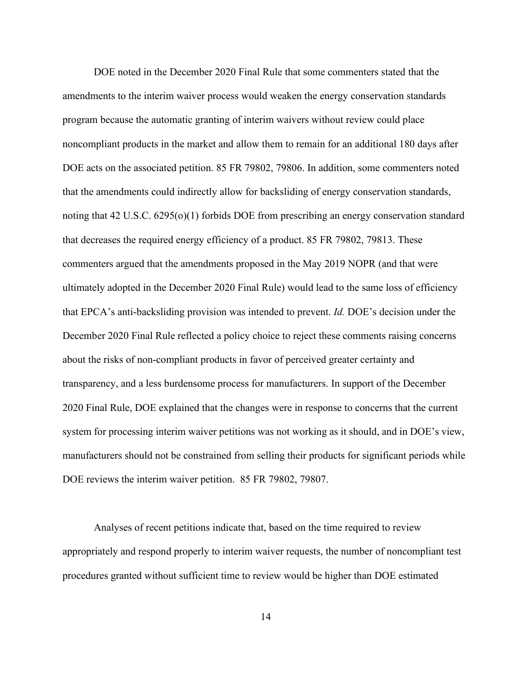DOE noted in the December 2020 Final Rule that some commenters stated that the amendments to the interim waiver process would weaken the energy conservation standards program because the automatic granting of interim waivers without review could place noncompliant products in the market and allow them to remain for an additional 180 days after DOE acts on the associated petition. 85 FR 79802, 79806. In addition, some commenters noted that the amendments could indirectly allow for backsliding of energy conservation standards, noting that 42 U.S.C. 6295(o)(1) forbids DOE from prescribing an energy conservation standard that decreases the required energy efficiency of a product. 85 FR 79802, 79813. These commenters argued that the amendments proposed in the May 2019 NOPR (and that were ultimately adopted in the December 2020 Final Rule) would lead to the same loss of efficiency that EPCA's anti-backsliding provision was intended to prevent. *Id.* DOE's decision under the December 2020 Final Rule reflected a policy choice to reject these comments raising concerns about the risks of non-compliant products in favor of perceived greater certainty and transparency, and a less burdensome process for manufacturers. In support of the December 2020 Final Rule, DOE explained that the changes were in response to concerns that the current system for processing interim waiver petitions was not working as it should, and in DOE's view, manufacturers should not be constrained from selling their products for significant periods while DOE reviews the interim waiver petition. 85 FR 79802, 79807.

Analyses of recent petitions indicate that, based on the time required to review appropriately and respond properly to interim waiver requests, the number of noncompliant test procedures granted without sufficient time to review would be higher than DOE estimated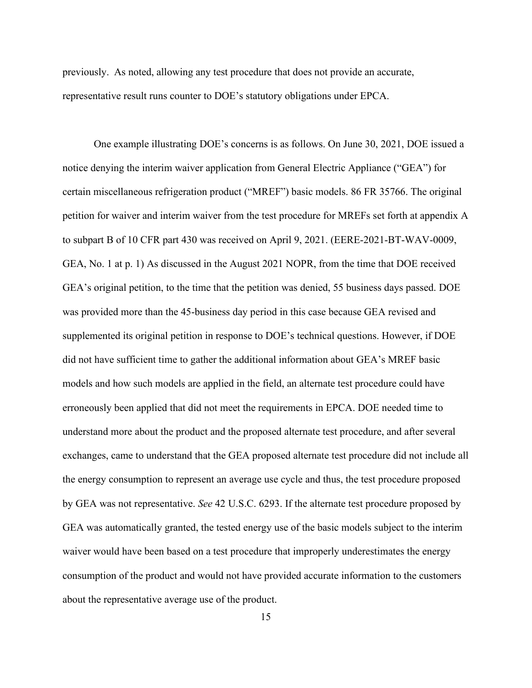previously. As noted, allowing any test procedure that does not provide an accurate, representative result runs counter to DOE's statutory obligations under EPCA.

One example illustrating DOE's concerns is as follows. On June 30, 2021, DOE issued a notice denying the interim waiver application from General Electric Appliance ("GEA") for certain miscellaneous refrigeration product ("MREF") basic models. 86 FR 35766. The original petition for waiver and interim waiver from the test procedure for MREFs set forth at appendix A to subpart B of 10 CFR part 430 was received on April 9, 2021. (EERE-2021-BT-WAV-0009, GEA, No. 1 at p. 1) As discussed in the August 2021 NOPR, from the time that DOE received GEA's original petition, to the time that the petition was denied, 55 business days passed. DOE was provided more than the 45-business day period in this case because GEA revised and supplemented its original petition in response to DOE's technical questions. However, if DOE did not have sufficient time to gather the additional information about GEA's MREF basic models and how such models are applied in the field, an alternate test procedure could have erroneously been applied that did not meet the requirements in EPCA. DOE needed time to understand more about the product and the proposed alternate test procedure, and after several exchanges, came to understand that the GEA proposed alternate test procedure did not include all the energy consumption to represent an average use cycle and thus, the test procedure proposed by GEA was not representative. *See* 42 U.S.C. 6293. If the alternate test procedure proposed by GEA was automatically granted, the tested energy use of the basic models subject to the interim waiver would have been based on a test procedure that improperly underestimates the energy consumption of the product and would not have provided accurate information to the customers about the representative average use of the product.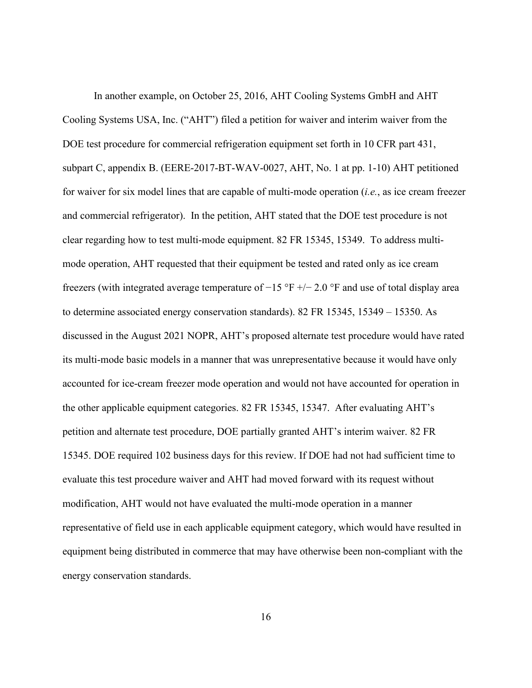In another example, on October 25, 2016, AHT Cooling Systems GmbH and AHT Cooling Systems USA, Inc. ("AHT") filed a petition for waiver and interim waiver from the DOE test procedure for commercial refrigeration equipment set forth in 10 CFR part 431, subpart C, appendix B. (EERE-2017-BT-WAV-0027, AHT, No. 1 at pp. 1-10) AHT petitioned for waiver for six model lines that are capable of multi-mode operation (*i.e.*, as ice cream freezer and commercial refrigerator). In the petition, AHT stated that the DOE test procedure is not clear regarding how to test multi-mode equipment. 82 FR 15345, 15349. To address multimode operation, AHT requested that their equipment be tested and rated only as ice cream freezers (with integrated average temperature of  $-15$  °F  $+/- 2.0$  °F and use of total display area to determine associated energy conservation standards). 82 FR 15345, 15349 – 15350. As discussed in the August 2021 NOPR, AHT's proposed alternate test procedure would have rated its multi-mode basic models in a manner that was unrepresentative because it would have only accounted for ice-cream freezer mode operation and would not have accounted for operation in the other applicable equipment categories. 82 FR 15345, 15347. After evaluating AHT's petition and alternate test procedure, DOE partially granted AHT's interim waiver. 82 FR 15345. DOE required 102 business days for this review. If DOE had not had sufficient time to evaluate this test procedure waiver and AHT had moved forward with its request without modification, AHT would not have evaluated the multi-mode operation in a manner representative of field use in each applicable equipment category, which would have resulted in equipment being distributed in commerce that may have otherwise been non-compliant with the energy conservation standards.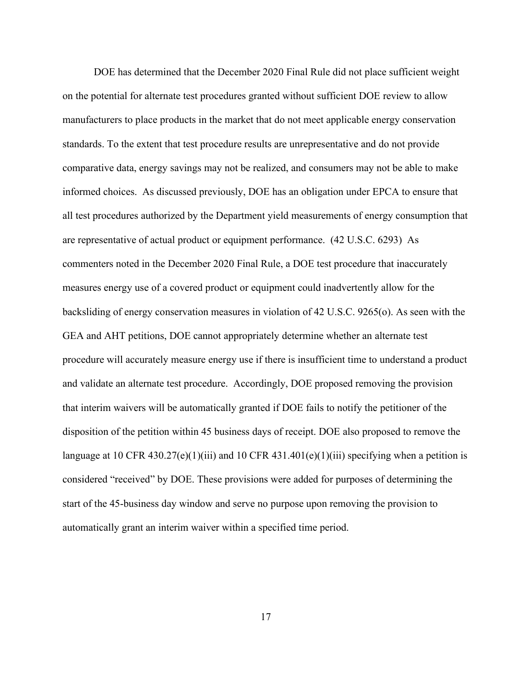DOE has determined that the December 2020 Final Rule did not place sufficient weight on the potential for alternate test procedures granted without sufficient DOE review to allow manufacturers to place products in the market that do not meet applicable energy conservation standards. To the extent that test procedure results are unrepresentative and do not provide comparative data, energy savings may not be realized, and consumers may not be able to make informed choices. As discussed previously, DOE has an obligation under EPCA to ensure that all test procedures authorized by the Department yield measurements of energy consumption that are representative of actual product or equipment performance. (42 U.S.C. 6293) As commenters noted in the December 2020 Final Rule, a DOE test procedure that inaccurately measures energy use of a covered product or equipment could inadvertently allow for the backsliding of energy conservation measures in violation of 42 U.S.C. 9265(o). As seen with the GEA and AHT petitions, DOE cannot appropriately determine whether an alternate test procedure will accurately measure energy use if there is insufficient time to understand a product and validate an alternate test procedure. Accordingly, DOE proposed removing the provision that interim waivers will be automatically granted if DOE fails to notify the petitioner of the disposition of the petition within 45 business days of receipt. DOE also proposed to remove the language at 10 CFR 430.27(e)(1)(iii) and 10 CFR 431.401(e)(1)(iii) specifying when a petition is considered "received" by DOE. These provisions were added for purposes of determining the start of the 45-business day window and serve no purpose upon removing the provision to automatically grant an interim waiver within a specified time period.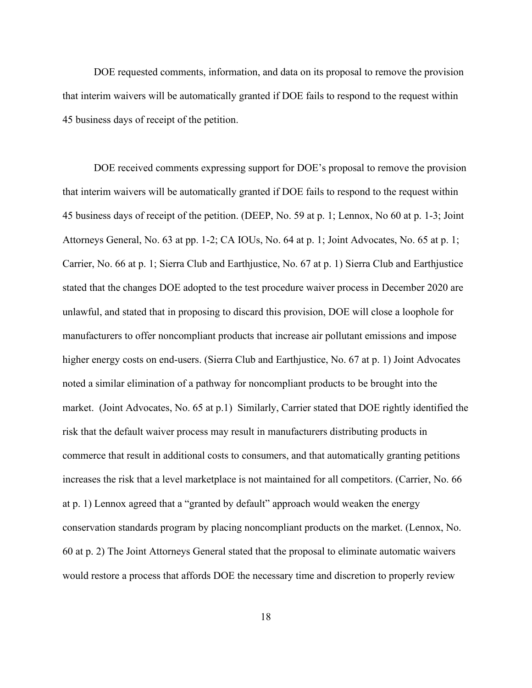DOE requested comments, information, and data on its proposal to remove the provision that interim waivers will be automatically granted if DOE fails to respond to the request within 45 business days of receipt of the petition.

DOE received comments expressing support for DOE's proposal to remove the provision that interim waivers will be automatically granted if DOE fails to respond to the request within 45 business days of receipt of the petition. (DEEP, No. 59 at p. 1; Lennox, No 60 at p. 1-3; Joint Attorneys General, No. 63 at pp. 1-2; CA IOUs, No. 64 at p. 1; Joint Advocates, No. 65 at p. 1; Carrier, No. 66 at p. 1; Sierra Club and Earthjustice, No. 67 at p. 1) Sierra Club and Earthjustice stated that the changes DOE adopted to the test procedure waiver process in December 2020 are unlawful, and stated that in proposing to discard this provision, DOE will close a loophole for manufacturers to offer noncompliant products that increase air pollutant emissions and impose higher energy costs on end-users. (Sierra Club and Earthjustice, No. 67 at p. 1) Joint Advocates noted a similar elimination of a pathway for noncompliant products to be brought into the market. (Joint Advocates, No. 65 at p.1) Similarly, Carrier stated that DOE rightly identified the risk that the default waiver process may result in manufacturers distributing products in commerce that result in additional costs to consumers, and that automatically granting petitions increases the risk that a level marketplace is not maintained for all competitors. (Carrier, No. 66 at p. 1) Lennox agreed that a "granted by default" approach would weaken the energy conservation standards program by placing noncompliant products on the market. (Lennox, No. 60 at p. 2) The Joint Attorneys General stated that the proposal to eliminate automatic waivers would restore a process that affords DOE the necessary time and discretion to properly review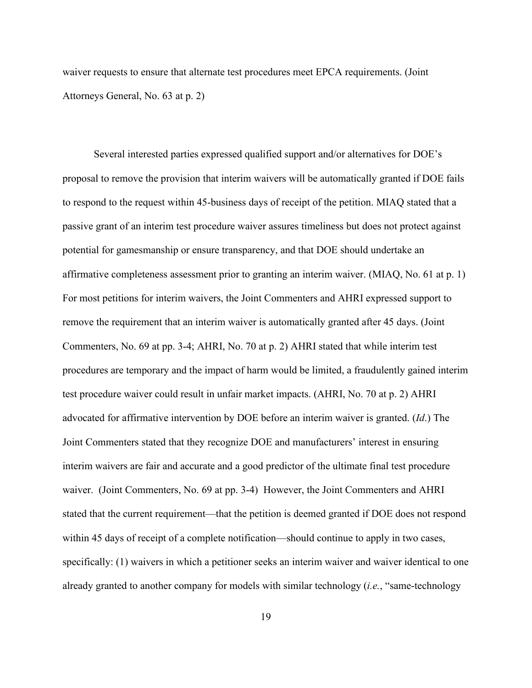waiver requests to ensure that alternate test procedures meet EPCA requirements. (Joint Attorneys General, No. 63 at p. 2)

Several interested parties expressed qualified support and/or alternatives for DOE's proposal to remove the provision that interim waivers will be automatically granted if DOE fails to respond to the request within 45-business days of receipt of the petition. MIAQ stated that a passive grant of an interim test procedure waiver assures timeliness but does not protect against potential for gamesmanship or ensure transparency, and that DOE should undertake an affirmative completeness assessment prior to granting an interim waiver. (MIAQ, No. 61 at p. 1) For most petitions for interim waivers, the Joint Commenters and AHRI expressed support to remove the requirement that an interim waiver is automatically granted after 45 days. (Joint Commenters, No. 69 at pp. 3-4; AHRI, No. 70 at p. 2) AHRI stated that while interim test procedures are temporary and the impact of harm would be limited, a fraudulently gained interim test procedure waiver could result in unfair market impacts. (AHRI, No. 70 at p. 2) AHRI advocated for affirmative intervention by DOE before an interim waiver is granted. (*Id*.) The Joint Commenters stated that they recognize DOE and manufacturers' interest in ensuring interim waivers are fair and accurate and a good predictor of the ultimate final test procedure waiver. (Joint Commenters, No. 69 at pp. 3-4) However, the Joint Commenters and AHRI stated that the current requirement—that the petition is deemed granted if DOE does not respond within 45 days of receipt of a complete notification—should continue to apply in two cases, specifically: (1) waivers in which a petitioner seeks an interim waiver and waiver identical to one already granted to another company for models with similar technology (*i.e.*, "same-technology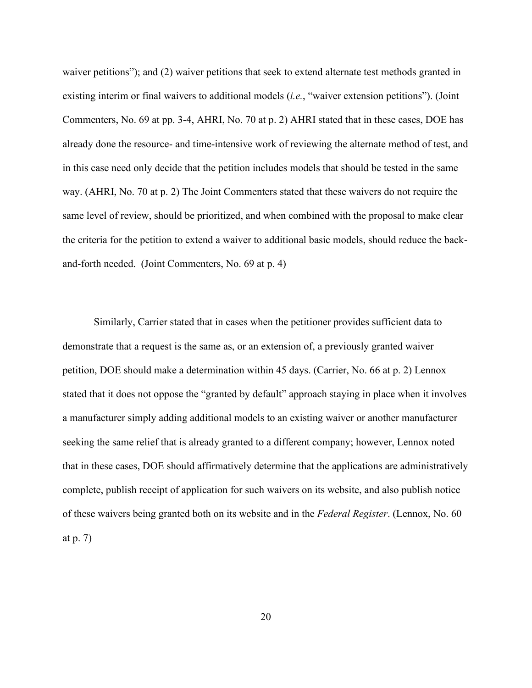waiver petitions"); and (2) waiver petitions that seek to extend alternate test methods granted in existing interim or final waivers to additional models (*i.e.*, "waiver extension petitions"). (Joint Commenters, No. 69 at pp. 3-4, AHRI, No. 70 at p. 2) AHRI stated that in these cases, DOE has already done the resource- and time-intensive work of reviewing the alternate method of test, and in this case need only decide that the petition includes models that should be tested in the same way. (AHRI, No. 70 at p. 2) The Joint Commenters stated that these waivers do not require the same level of review, should be prioritized, and when combined with the proposal to make clear the criteria for the petition to extend a waiver to additional basic models, should reduce the backand-forth needed. (Joint Commenters, No. 69 at p. 4)

Similarly, Carrier stated that in cases when the petitioner provides sufficient data to demonstrate that a request is the same as, or an extension of, a previously granted waiver petition, DOE should make a determination within 45 days. (Carrier, No. 66 at p. 2) Lennox stated that it does not oppose the "granted by default" approach staying in place when it involves a manufacturer simply adding additional models to an existing waiver or another manufacturer seeking the same relief that is already granted to a different company; however, Lennox noted that in these cases, DOE should affirmatively determine that the applications are administratively complete, publish receipt of application for such waivers on its website, and also publish notice of these waivers being granted both on its website and in the *Federal Register*. (Lennox, No. 60 at p. 7)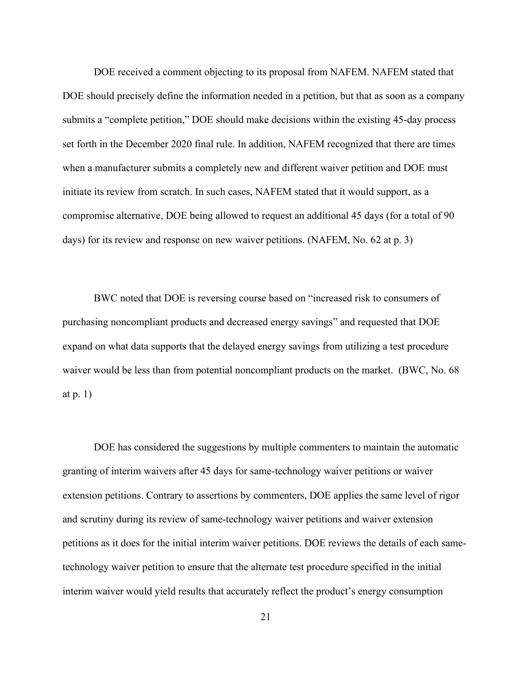DOE received a comment objecting to its proposal from NAFEM. NAFEM stated that DOE should precisely define the information needed in a petition, but that as soon as a company submits a "complete petition," DOE should make decisions within the existing 45-day process set forth in the December 2020 final rule. In addition, NAFEM recognized that there are times when a manufacturer submits a completely new and different waiver petition and DOE must initiate its review from scratch. In such cases, NAFEM stated that it would support, as a compromise alternative, DOE being allowed to request an additional 45 days (for a total of 90 days) for its review and response on new waiver petitions. (NAFEM, No. 62 at p. 3)

BWC noted that DOE is reversing course based on "increased risk to consumers of purchasing noncompliant products and decreased energy savings" and requested that DOE expand on what data supports that the delayed energy savings from utilizing a test procedure waiver would be less than from potential noncompliant products on the market. (BWC, No. 68 at p. 1)

DOE has considered the suggestions by multiple commenters to maintain the automatic granting of interim waivers after 45 days for same-technology waiver petitions or waiver extension petitions. Contrary to assertions by commenters, DOE applies the same level of rigor and scrutiny during its review of same-technology waiver petitions and waiver extension petitions as it does for the initial interim waiver petitions. DOE reviews the details of each sametechnology waiver petition to ensure that the alternate test procedure specified in the initial interim waiver would yield results that accurately reflect the product's energy consumption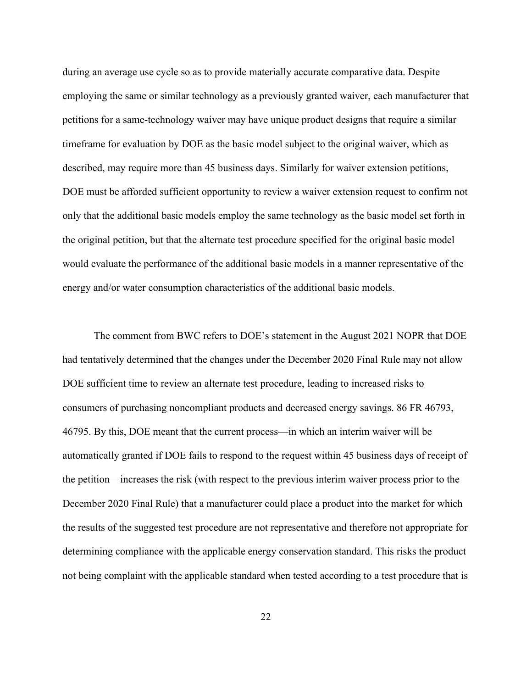during an average use cycle so as to provide materially accurate comparative data. Despite employing the same or similar technology as a previously granted waiver, each manufacturer that petitions for a same-technology waiver may have unique product designs that require a similar timeframe for evaluation by DOE as the basic model subject to the original waiver, which as described, may require more than 45 business days. Similarly for waiver extension petitions, DOE must be afforded sufficient opportunity to review a waiver extension request to confirm not only that the additional basic models employ the same technology as the basic model set forth in the original petition, but that the alternate test procedure specified for the original basic model would evaluate the performance of the additional basic models in a manner representative of the energy and/or water consumption characteristics of the additional basic models.

The comment from BWC refers to DOE's statement in the August 2021 NOPR that DOE had tentatively determined that the changes under the December 2020 Final Rule may not allow DOE sufficient time to review an alternate test procedure, leading to increased risks to consumers of purchasing noncompliant products and decreased energy savings. 86 FR 46793, 46795. By this, DOE meant that the current process—in which an interim waiver will be automatically granted if DOE fails to respond to the request within 45 business days of receipt of the petition—increases the risk (with respect to the previous interim waiver process prior to the December 2020 Final Rule) that a manufacturer could place a product into the market for which the results of the suggested test procedure are not representative and therefore not appropriate for determining compliance with the applicable energy conservation standard. This risks the product not being complaint with the applicable standard when tested according to a test procedure that is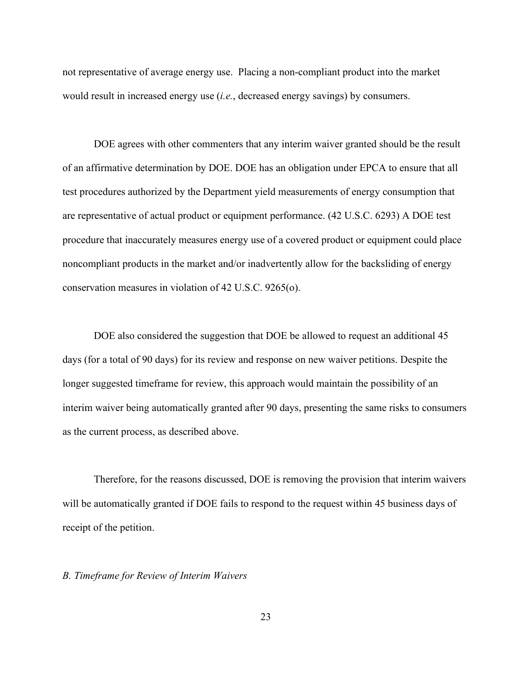not representative of average energy use. Placing a non-compliant product into the market would result in increased energy use (*i.e.*, decreased energy savings) by consumers.

DOE agrees with other commenters that any interim waiver granted should be the result of an affirmative determination by DOE. DOE has an obligation under EPCA to ensure that all test procedures authorized by the Department yield measurements of energy consumption that are representative of actual product or equipment performance. (42 U.S.C. 6293) A DOE test procedure that inaccurately measures energy use of a covered product or equipment could place noncompliant products in the market and/or inadvertently allow for the backsliding of energy conservation measures in violation of 42 U.S.C. 9265(o).

DOE also considered the suggestion that DOE be allowed to request an additional 45 days (for a total of 90 days) for its review and response on new waiver petitions. Despite the longer suggested timeframe for review, this approach would maintain the possibility of an interim waiver being automatically granted after 90 days, presenting the same risks to consumers as the current process, as described above.

Therefore, for the reasons discussed, DOE is removing the provision that interim waivers will be automatically granted if DOE fails to respond to the request within 45 business days of receipt of the petition.

## *B. Timeframe for Review of Interim Waivers*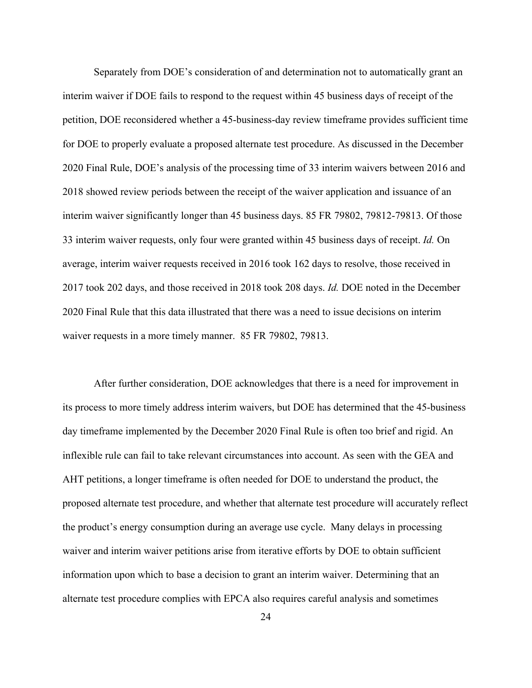Separately from DOE's consideration of and determination not to automatically grant an interim waiver if DOE fails to respond to the request within 45 business days of receipt of the petition, DOE reconsidered whether a 45-business-day review timeframe provides sufficient time for DOE to properly evaluate a proposed alternate test procedure. As discussed in the December 2020 Final Rule, DOE's analysis of the processing time of 33 interim waivers between 2016 and 2018 showed review periods between the receipt of the waiver application and issuance of an interim waiver significantly longer than 45 business days. 85 FR 79802, 79812-79813. Of those 33 interim waiver requests, only four were granted within 45 business days of receipt. *Id.* On average, interim waiver requests received in 2016 took 162 days to resolve, those received in 2017 took 202 days, and those received in 2018 took 208 days. *Id.* DOE noted in the December 2020 Final Rule that this data illustrated that there was a need to issue decisions on interim waiver requests in a more timely manner. 85 FR 79802, 79813.

After further consideration, DOE acknowledges that there is a need for improvement in its process to more timely address interim waivers, but DOE has determined that the 45-business day timeframe implemented by the December 2020 Final Rule is often too brief and rigid. An inflexible rule can fail to take relevant circumstances into account. As seen with the GEA and AHT petitions, a longer timeframe is often needed for DOE to understand the product, the proposed alternate test procedure, and whether that alternate test procedure will accurately reflect the product's energy consumption during an average use cycle. Many delays in processing waiver and interim waiver petitions arise from iterative efforts by DOE to obtain sufficient information upon which to base a decision to grant an interim waiver. Determining that an alternate test procedure complies with EPCA also requires careful analysis and sometimes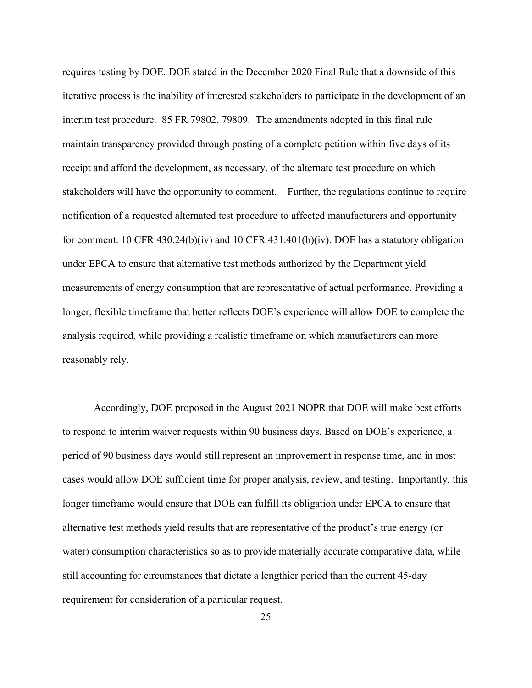requires testing by DOE. DOE stated in the December 2020 Final Rule that a downside of this iterative process is the inability of interested stakeholders to participate in the development of an interim test procedure. 85 FR 79802, 79809. The amendments adopted in this final rule maintain transparency provided through posting of a complete petition within five days of its receipt and afford the development, as necessary, of the alternate test procedure on which stakeholders will have the opportunity to comment. Further, the regulations continue to require notification of a requested alternated test procedure to affected manufacturers and opportunity for comment. 10 CFR 430.24(b)(iv) and 10 CFR 431.401(b)(iv). DOE has a statutory obligation under EPCA to ensure that alternative test methods authorized by the Department yield measurements of energy consumption that are representative of actual performance. Providing a longer, flexible timeframe that better reflects DOE's experience will allow DOE to complete the analysis required, while providing a realistic timeframe on which manufacturers can more reasonably rely.

Accordingly, DOE proposed in the August 2021 NOPR that DOE will make best efforts to respond to interim waiver requests within 90 business days. Based on DOE's experience, a period of 90 business days would still represent an improvement in response time, and in most cases would allow DOE sufficient time for proper analysis, review, and testing. Importantly, this longer timeframe would ensure that DOE can fulfill its obligation under EPCA to ensure that alternative test methods yield results that are representative of the product's true energy (or water) consumption characteristics so as to provide materially accurate comparative data, while still accounting for circumstances that dictate a lengthier period than the current 45-day requirement for consideration of a particular request.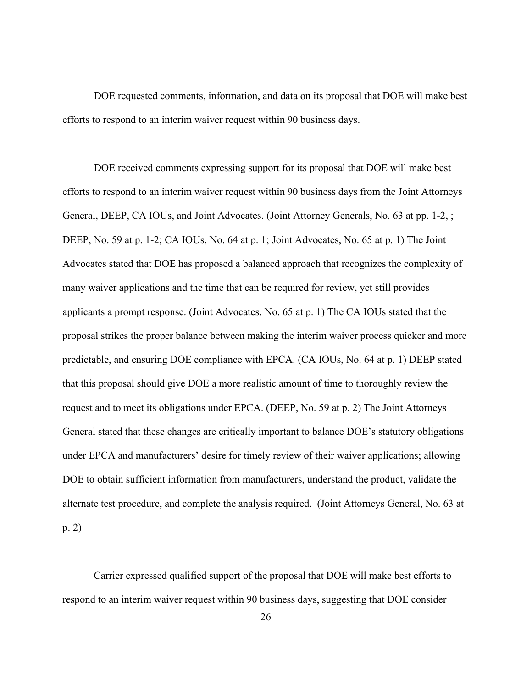DOE requested comments, information, and data on its proposal that DOE will make best efforts to respond to an interim waiver request within 90 business days.

DOE received comments expressing support for its proposal that DOE will make best efforts to respond to an interim waiver request within 90 business days from the Joint Attorneys General, DEEP, CA IOUs, and Joint Advocates. (Joint Attorney Generals, No. 63 at pp. 1-2, ; DEEP, No. 59 at p. 1-2; CA IOUs, No. 64 at p. 1; Joint Advocates, No. 65 at p. 1) The Joint Advocates stated that DOE has proposed a balanced approach that recognizes the complexity of many waiver applications and the time that can be required for review, yet still provides applicants a prompt response. (Joint Advocates, No. 65 at p. 1) The CA IOUs stated that the proposal strikes the proper balance between making the interim waiver process quicker and more predictable, and ensuring DOE compliance with EPCA. (CA IOUs, No. 64 at p. 1) DEEP stated that this proposal should give DOE a more realistic amount of time to thoroughly review the request and to meet its obligations under EPCA. (DEEP, No. 59 at p. 2) The Joint Attorneys General stated that these changes are critically important to balance DOE's statutory obligations under EPCA and manufacturers' desire for timely review of their waiver applications; allowing DOE to obtain sufficient information from manufacturers, understand the product, validate the alternate test procedure, and complete the analysis required. (Joint Attorneys General, No. 63 at p. 2)

Carrier expressed qualified support of the proposal that DOE will make best efforts to respond to an interim waiver request within 90 business days, suggesting that DOE consider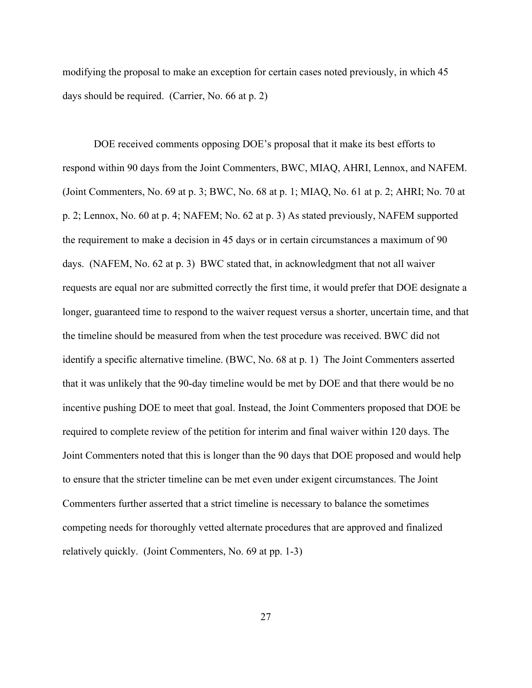modifying the proposal to make an exception for certain cases noted previously, in which 45 days should be required. (Carrier, No. 66 at p. 2)

DOE received comments opposing DOE's proposal that it make its best efforts to respond within 90 days from the Joint Commenters, BWC, MIAQ, AHRI, Lennox, and NAFEM. (Joint Commenters, No. 69 at p. 3; BWC, No. 68 at p. 1; MIAQ, No. 61 at p. 2; AHRI; No. 70 at p. 2; Lennox, No. 60 at p. 4; NAFEM; No. 62 at p. 3) As stated previously, NAFEM supported the requirement to make a decision in 45 days or in certain circumstances a maximum of 90 days. (NAFEM, No. 62 at p. 3) BWC stated that, in acknowledgment that not all waiver requests are equal nor are submitted correctly the first time, it would prefer that DOE designate a longer, guaranteed time to respond to the waiver request versus a shorter, uncertain time, and that the timeline should be measured from when the test procedure was received. BWC did not identify a specific alternative timeline. (BWC, No. 68 at p. 1) The Joint Commenters asserted that it was unlikely that the 90-day timeline would be met by DOE and that there would be no incentive pushing DOE to meet that goal. Instead, the Joint Commenters proposed that DOE be required to complete review of the petition for interim and final waiver within 120 days. The Joint Commenters noted that this is longer than the 90 days that DOE proposed and would help to ensure that the stricter timeline can be met even under exigent circumstances. The Joint Commenters further asserted that a strict timeline is necessary to balance the sometimes competing needs for thoroughly vetted alternate procedures that are approved and finalized relatively quickly. (Joint Commenters, No. 69 at pp. 1-3)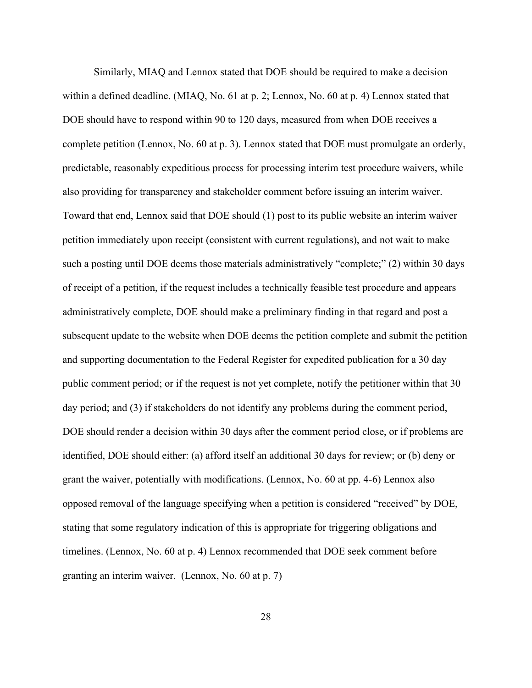Similarly, MIAQ and Lennox stated that DOE should be required to make a decision within a defined deadline. (MIAQ, No. 61 at p. 2; Lennox, No. 60 at p. 4) Lennox stated that DOE should have to respond within 90 to 120 days, measured from when DOE receives a complete petition (Lennox, No. 60 at p. 3). Lennox stated that DOE must promulgate an orderly, predictable, reasonably expeditious process for processing interim test procedure waivers, while also providing for transparency and stakeholder comment before issuing an interim waiver. Toward that end, Lennox said that DOE should (1) post to its public website an interim waiver petition immediately upon receipt (consistent with current regulations), and not wait to make such a posting until DOE deems those materials administratively "complete;" (2) within 30 days of receipt of a petition, if the request includes a technically feasible test procedure and appears administratively complete, DOE should make a preliminary finding in that regard and post a subsequent update to the website when DOE deems the petition complete and submit the petition and supporting documentation to the Federal Register for expedited publication for a 30 day public comment period; or if the request is not yet complete, notify the petitioner within that 30 day period; and (3) if stakeholders do not identify any problems during the comment period, DOE should render a decision within 30 days after the comment period close, or if problems are identified, DOE should either: (a) afford itself an additional 30 days for review; or (b) deny or grant the waiver, potentially with modifications. (Lennox, No. 60 at pp. 4-6) Lennox also opposed removal of the language specifying when a petition is considered "received" by DOE, stating that some regulatory indication of this is appropriate for triggering obligations and timelines. (Lennox, No. 60 at p. 4) Lennox recommended that DOE seek comment before granting an interim waiver. (Lennox, No. 60 at p. 7)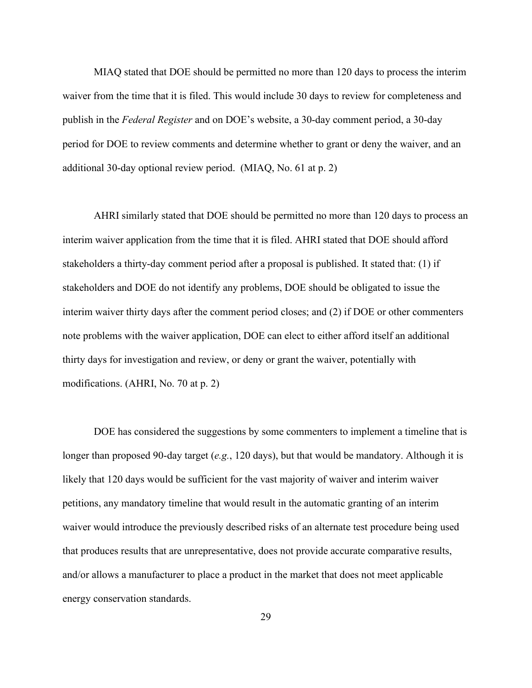MIAQ stated that DOE should be permitted no more than 120 days to process the interim waiver from the time that it is filed. This would include 30 days to review for completeness and publish in the *Federal Register* and on DOE's website, a 30-day comment period, a 30-day period for DOE to review comments and determine whether to grant or deny the waiver, and an additional 30-day optional review period. (MIAQ, No. 61 at p. 2)

AHRI similarly stated that DOE should be permitted no more than 120 days to process an interim waiver application from the time that it is filed. AHRI stated that DOE should afford stakeholders a thirty-day comment period after a proposal is published. It stated that: (1) if stakeholders and DOE do not identify any problems, DOE should be obligated to issue the interim waiver thirty days after the comment period closes; and (2) if DOE or other commenters note problems with the waiver application, DOE can elect to either afford itself an additional thirty days for investigation and review, or deny or grant the waiver, potentially with modifications. (AHRI, No. 70 at p. 2)

DOE has considered the suggestions by some commenters to implement a timeline that is longer than proposed 90-day target (*e.g.*, 120 days), but that would be mandatory. Although it is likely that 120 days would be sufficient for the vast majority of waiver and interim waiver petitions, any mandatory timeline that would result in the automatic granting of an interim waiver would introduce the previously described risks of an alternate test procedure being used that produces results that are unrepresentative, does not provide accurate comparative results, and/or allows a manufacturer to place a product in the market that does not meet applicable energy conservation standards.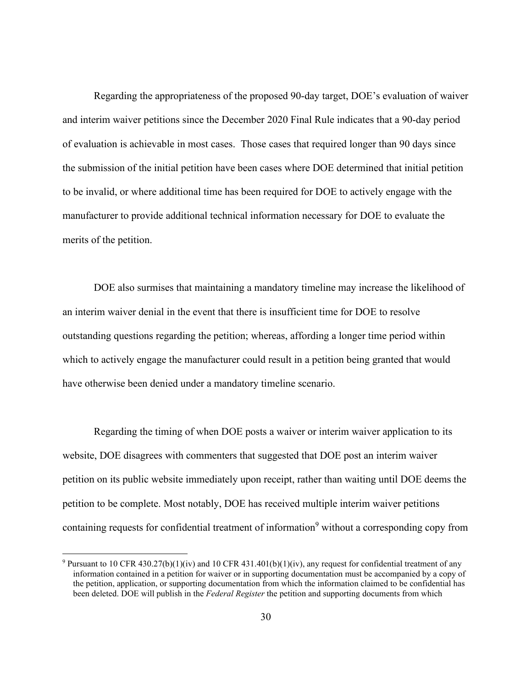Regarding the appropriateness of the proposed 90-day target, DOE's evaluation of waiver and interim waiver petitions since the December 2020 Final Rule indicates that a 90-day period of evaluation is achievable in most cases. Those cases that required longer than 90 days since the submission of the initial petition have been cases where DOE determined that initial petition to be invalid, or where additional time has been required for DOE to actively engage with the manufacturer to provide additional technical information necessary for DOE to evaluate the merits of the petition.

DOE also surmises that maintaining a mandatory timeline may increase the likelihood of an interim waiver denial in the event that there is insufficient time for DOE to resolve outstanding questions regarding the petition; whereas, affording a longer time period within which to actively engage the manufacturer could result in a petition being granted that would have otherwise been denied under a mandatory timeline scenario.

Regarding the timing of when DOE posts a waiver or interim waiver application to its website, DOE disagrees with commenters that suggested that DOE post an interim waiver petition on its public website immediately upon receipt, rather than waiting until DOE deems the petition to be complete. Most notably, DOE has received multiple interim waiver petitions containing requests for confidential treatment of information<sup>9</sup> without a corresponding copy from

<sup>&</sup>lt;sup>9</sup> Pursuant to 10 CFR 430.27(b)(1)(iv) and 10 CFR 431.401(b)(1)(iv), any request for confidential treatment of any information contained in a petition for waiver or in supporting documentation must be accompanied by a copy of the petition, application, or supporting documentation from which the information claimed to be confidential has been deleted. DOE will publish in the *Federal Register* the petition and supporting documents from which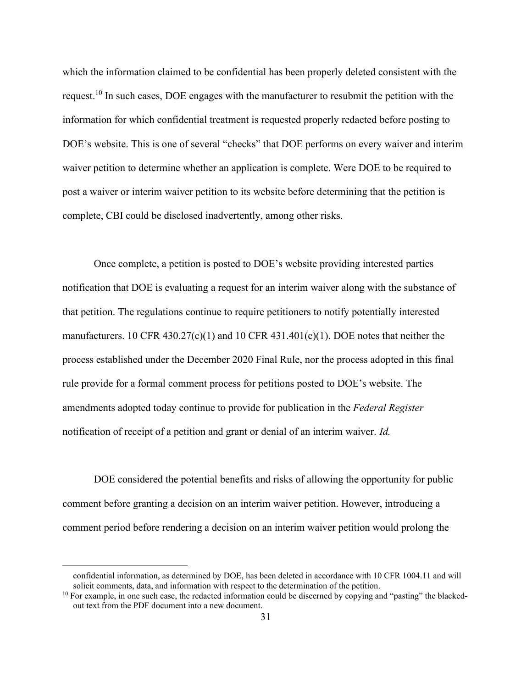which the information claimed to be confidential has been properly deleted consistent with the request.10 In such cases, DOE engages with the manufacturer to resubmit the petition with the information for which confidential treatment is requested properly redacted before posting to DOE's website. This is one of several "checks" that DOE performs on every waiver and interim waiver petition to determine whether an application is complete. Were DOE to be required to post a waiver or interim waiver petition to its website before determining that the petition is complete, CBI could be disclosed inadvertently, among other risks.

Once complete, a petition is posted to DOE's website providing interested parties notification that DOE is evaluating a request for an interim waiver along with the substance of that petition. The regulations continue to require petitioners to notify potentially interested manufacturers. 10 CFR 430.27(c)(1) and 10 CFR 431.401(c)(1). DOE notes that neither the process established under the December 2020 Final Rule, nor the process adopted in this final rule provide for a formal comment process for petitions posted to DOE's website. The amendments adopted today continue to provide for publication in the *Federal Register* notification of receipt of a petition and grant or denial of an interim waiver. *Id.*

DOE considered the potential benefits and risks of allowing the opportunity for public comment before granting a decision on an interim waiver petition. However, introducing a comment period before rendering a decision on an interim waiver petition would prolong the

confidential information, as determined by DOE, has been deleted in accordance with 10 CFR 1004.11 and will solicit comments, data, and information with respect to the determination of the petition.

 $10$  For example, in one such case, the redacted information could be discerned by copying and "pasting" the blackedout text from the PDF document into a new document.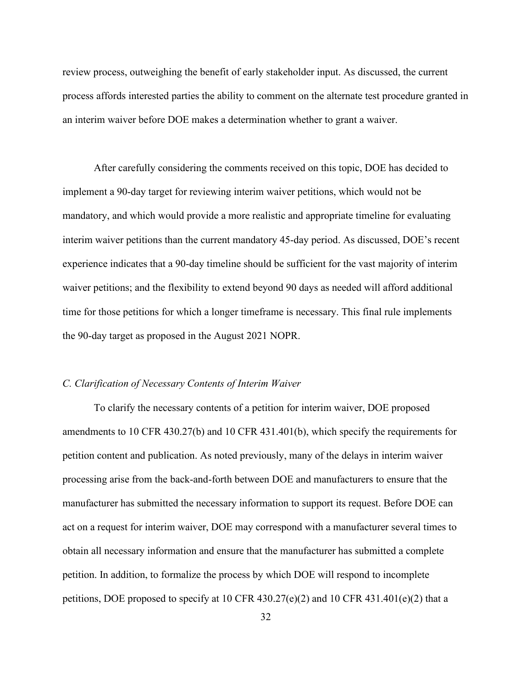review process, outweighing the benefit of early stakeholder input. As discussed, the current process affords interested parties the ability to comment on the alternate test procedure granted in an interim waiver before DOE makes a determination whether to grant a waiver.

After carefully considering the comments received on this topic, DOE has decided to implement a 90-day target for reviewing interim waiver petitions, which would not be mandatory, and which would provide a more realistic and appropriate timeline for evaluating interim waiver petitions than the current mandatory 45-day period. As discussed, DOE's recent experience indicates that a 90-day timeline should be sufficient for the vast majority of interim waiver petitions; and the flexibility to extend beyond 90 days as needed will afford additional time for those petitions for which a longer timeframe is necessary. This final rule implements the 90-day target as proposed in the August 2021 NOPR.

#### *C. Clarification of Necessary Contents of Interim Waiver*

To clarify the necessary contents of a petition for interim waiver, DOE proposed amendments to 10 CFR 430.27(b) and 10 CFR 431.401(b), which specify the requirements for petition content and publication. As noted previously, many of the delays in interim waiver processing arise from the back-and-forth between DOE and manufacturers to ensure that the manufacturer has submitted the necessary information to support its request. Before DOE can act on a request for interim waiver, DOE may correspond with a manufacturer several times to obtain all necessary information and ensure that the manufacturer has submitted a complete petition. In addition, to formalize the process by which DOE will respond to incomplete petitions, DOE proposed to specify at 10 CFR 430.27(e)(2) and 10 CFR 431.401(e)(2) that a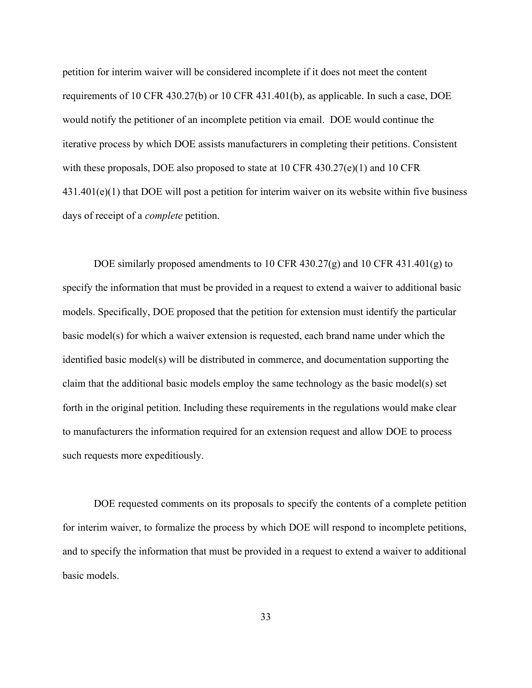petition for interim waiver will be considered incomplete if it does not meet the content requirements of 10 CFR 430.27(b) or 10 CFR 431.401(b), as applicable. In such a case, DOE would notify the petitioner of an incomplete petition via email. DOE would continue the iterative process by which DOE assists manufacturers in completing their petitions. Consistent with these proposals, DOE also proposed to state at  $10 \text{ CFR } 430.27(e)(1)$  and  $10 \text{ CFR } 430.27(e)(1)$ 431.401(e)(1) that DOE will post a petition for interim waiver on its website within five business days of receipt of a *complete* petition.

DOE similarly proposed amendments to 10 CFR 430.27(g) and 10 CFR 431.401(g) to specify the information that must be provided in a request to extend a waiver to additional basic models. Specifically, DOE proposed that the petition for extension must identify the particular basic model(s) for which a waiver extension is requested, each brand name under which the identified basic model(s) will be distributed in commerce, and documentation supporting the claim that the additional basic models employ the same technology as the basic model(s) set forth in the original petition. Including these requirements in the regulations would make clear to manufacturers the information required for an extension request and allow DOE to process such requests more expeditiously.

DOE requested comments on its proposals to specify the contents of a complete petition for interim waiver, to formalize the process by which DOE will respond to incomplete petitions, and to specify the information that must be provided in a request to extend a waiver to additional basic models.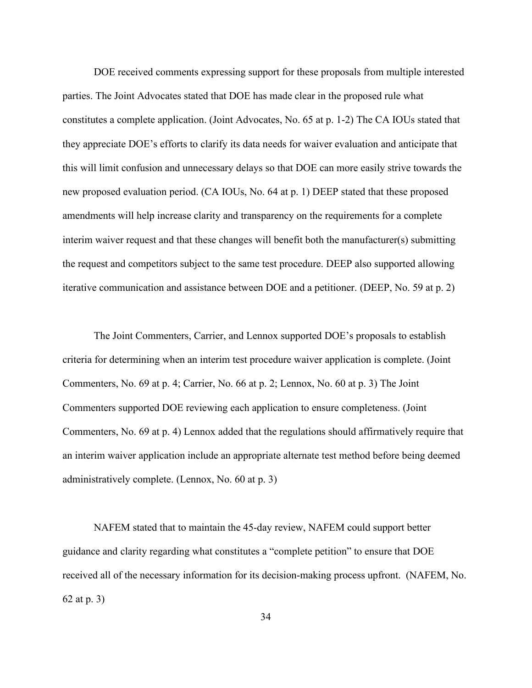DOE received comments expressing support for these proposals from multiple interested parties. The Joint Advocates stated that DOE has made clear in the proposed rule what constitutes a complete application. (Joint Advocates, No. 65 at p. 1-2) The CA IOUs stated that they appreciate DOE's efforts to clarify its data needs for waiver evaluation and anticipate that this will limit confusion and unnecessary delays so that DOE can more easily strive towards the new proposed evaluation period. (CA IOUs, No. 64 at p. 1) DEEP stated that these proposed amendments will help increase clarity and transparency on the requirements for a complete interim waiver request and that these changes will benefit both the manufacturer(s) submitting the request and competitors subject to the same test procedure. DEEP also supported allowing iterative communication and assistance between DOE and a petitioner. (DEEP, No. 59 at p. 2)

The Joint Commenters, Carrier, and Lennox supported DOE's proposals to establish criteria for determining when an interim test procedure waiver application is complete. (Joint Commenters, No. 69 at p. 4; Carrier, No. 66 at p. 2; Lennox, No. 60 at p. 3) The Joint Commenters supported DOE reviewing each application to ensure completeness. (Joint Commenters, No. 69 at p. 4) Lennox added that the regulations should affirmatively require that an interim waiver application include an appropriate alternate test method before being deemed administratively complete. (Lennox, No. 60 at p. 3)

NAFEM stated that to maintain the 45-day review, NAFEM could support better guidance and clarity regarding what constitutes a "complete petition" to ensure that DOE received all of the necessary information for its decision-making process upfront. (NAFEM, No. 62 at p. 3)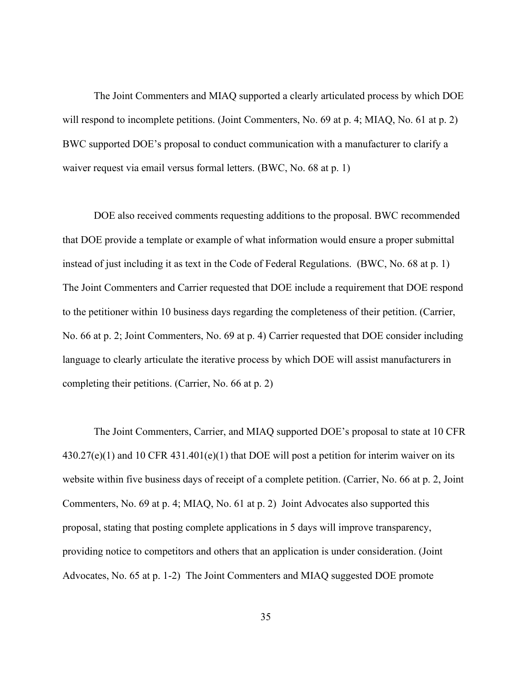The Joint Commenters and MIAQ supported a clearly articulated process by which DOE will respond to incomplete petitions. (Joint Commenters, No. 69 at p. 4; MIAQ, No. 61 at p. 2) BWC supported DOE's proposal to conduct communication with a manufacturer to clarify a waiver request via email versus formal letters. (BWC, No. 68 at p. 1)

DOE also received comments requesting additions to the proposal. BWC recommended that DOE provide a template or example of what information would ensure a proper submittal instead of just including it as text in the Code of Federal Regulations. (BWC, No. 68 at p. 1) The Joint Commenters and Carrier requested that DOE include a requirement that DOE respond to the petitioner within 10 business days regarding the completeness of their petition. (Carrier, No. 66 at p. 2; Joint Commenters, No. 69 at p. 4) Carrier requested that DOE consider including language to clearly articulate the iterative process by which DOE will assist manufacturers in completing their petitions. (Carrier, No. 66 at p. 2)

The Joint Commenters, Carrier, and MIAQ supported DOE's proposal to state at 10 CFR  $430.27(e)(1)$  and 10 CFR  $431.401(e)(1)$  that DOE will post a petition for interim waiver on its website within five business days of receipt of a complete petition. (Carrier, No. 66 at p. 2, Joint Commenters, No. 69 at p. 4; MIAQ, No. 61 at p. 2) Joint Advocates also supported this proposal, stating that posting complete applications in 5 days will improve transparency, providing notice to competitors and others that an application is under consideration. (Joint Advocates, No. 65 at p. 1-2) The Joint Commenters and MIAQ suggested DOE promote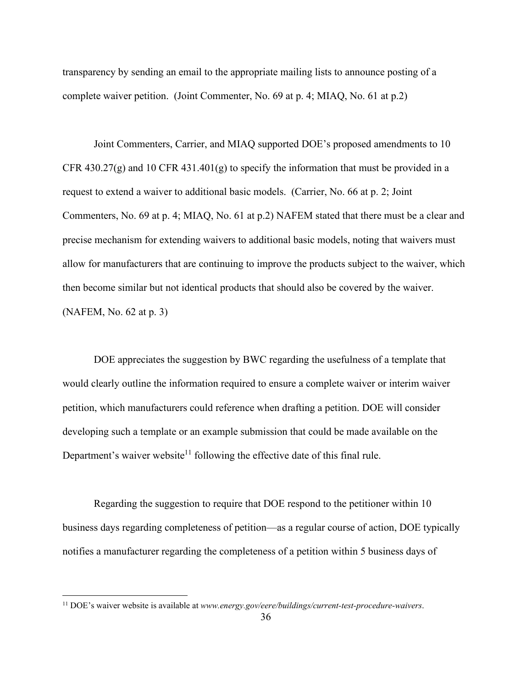transparency by sending an email to the appropriate mailing lists to announce posting of a complete waiver petition. (Joint Commenter, No. 69 at p. 4; MIAQ, No. 61 at p.2)

Joint Commenters, Carrier, and MIAQ supported DOE's proposed amendments to 10 CFR 430.27(g) and 10 CFR 431.401(g) to specify the information that must be provided in a request to extend a waiver to additional basic models. (Carrier, No. 66 at p. 2; Joint Commenters, No. 69 at p. 4; MIAQ, No. 61 at p.2) NAFEM stated that there must be a clear and precise mechanism for extending waivers to additional basic models, noting that waivers must allow for manufacturers that are continuing to improve the products subject to the waiver, which then become similar but not identical products that should also be covered by the waiver. (NAFEM, No. 62 at p. 3)

DOE appreciates the suggestion by BWC regarding the usefulness of a template that would clearly outline the information required to ensure a complete waiver or interim waiver petition, which manufacturers could reference when drafting a petition. DOE will consider developing such a template or an example submission that could be made available on the Department's waiver website<sup>11</sup> following the effective date of this final rule.

Regarding the suggestion to require that DOE respond to the petitioner within 10 business days regarding completeness of petition—as a regular course of action, DOE typically notifies a manufacturer regarding the completeness of a petition within 5 business days of

<sup>11</sup> DOE's waiver website is available at *[www.energy.gov/eere/buildings/current-test-procedure-waivers](http://www.energy.gov/eere/buildings/current-test-procedure-waivers)*.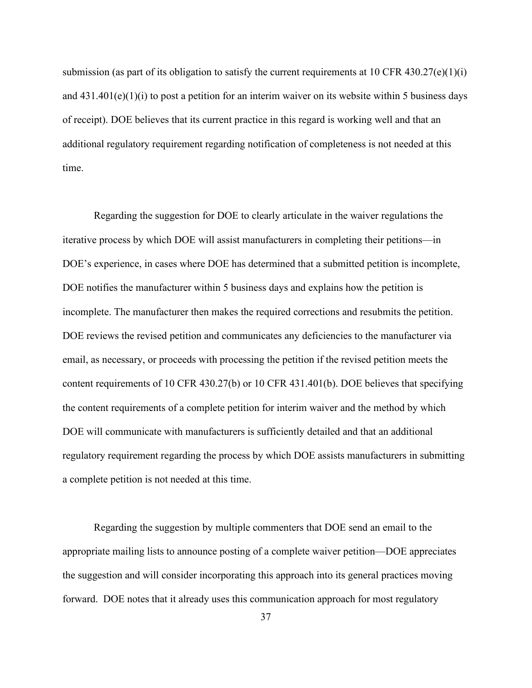submission (as part of its obligation to satisfy the current requirements at 10 CFR 430.27(e)(1)(i) and  $431.401(e)(1)(i)$  to post a petition for an interim waiver on its website within 5 business days of receipt). DOE believes that its current practice in this regard is working well and that an additional regulatory requirement regarding notification of completeness is not needed at this time.

Regarding the suggestion for DOE to clearly articulate in the waiver regulations the iterative process by which DOE will assist manufacturers in completing their petitions—in DOE's experience, in cases where DOE has determined that a submitted petition is incomplete, DOE notifies the manufacturer within 5 business days and explains how the petition is incomplete. The manufacturer then makes the required corrections and resubmits the petition. DOE reviews the revised petition and communicates any deficiencies to the manufacturer via email, as necessary, or proceeds with processing the petition if the revised petition meets the content requirements of 10 CFR 430.27(b) or 10 CFR 431.401(b). DOE believes that specifying the content requirements of a complete petition for interim waiver and the method by which DOE will communicate with manufacturers is sufficiently detailed and that an additional regulatory requirement regarding the process by which DOE assists manufacturers in submitting a complete petition is not needed at this time.

Regarding the suggestion by multiple commenters that DOE send an email to the appropriate mailing lists to announce posting of a complete waiver petition—DOE appreciates the suggestion and will consider incorporating this approach into its general practices moving forward. DOE notes that it already uses this communication approach for most regulatory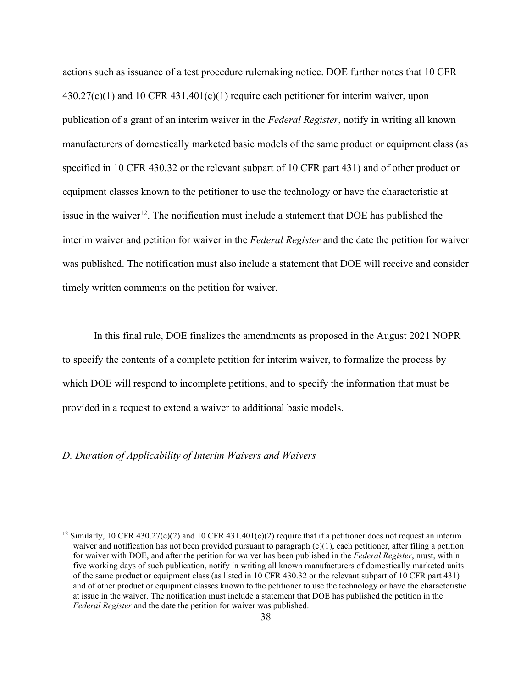actions such as issuance of a test procedure rulemaking notice. DOE further notes that 10 CFR  $430.27(c)(1)$  and 10 CFR  $431.401(c)(1)$  require each petitioner for interim waiver, upon publication of a grant of an interim waiver in the *Federal Register*, notify in writing all known manufacturers of domestically marketed basic models of the same product or equipment class (as specified in 10 CFR 430.32 or the relevant subpart of 10 CFR part 431) and of other product or equipment classes known to the petitioner to use the technology or have the characteristic at issue in the waiver<sup>12</sup>. The notification must include a statement that DOE has published the interim waiver and petition for waiver in the *Federal Register* and the date the petition for waiver was published. The notification must also include a statement that DOE will receive and consider timely written comments on the petition for waiver.

In this final rule, DOE finalizes the amendments as proposed in the August 2021 NOPR to specify the contents of a complete petition for interim waiver, to formalize the process by which DOE will respond to incomplete petitions, and to specify the information that must be provided in a request to extend a waiver to additional basic models.

#### *D. Duration of Applicability of Interim Waivers and Waivers*

<sup>&</sup>lt;sup>12</sup> Similarly, 10 CFR 430.27(c)(2) and 10 CFR 431.401(c)(2) require that if a petitioner does not request an interim waiver and notification has not been provided pursuant to paragraph  $(c)(1)$ , each petitioner, after filing a petition for waiver with DOE, and after the petition for waiver has been published in the *Federal Register*, must, within five working days of such publication, notify in writing all known manufacturers of domestically marketed units of the same product or equipment class (as listed in 10 CFR 430.32 or the relevant subpart of 10 CFR part 431) and of other product or equipment classes known to the petitioner to use the technology or have the characteristic at issue in the waiver. The notification must include a statement that DOE has published the petition in the *Federal Register* and the date the petition for waiver was published.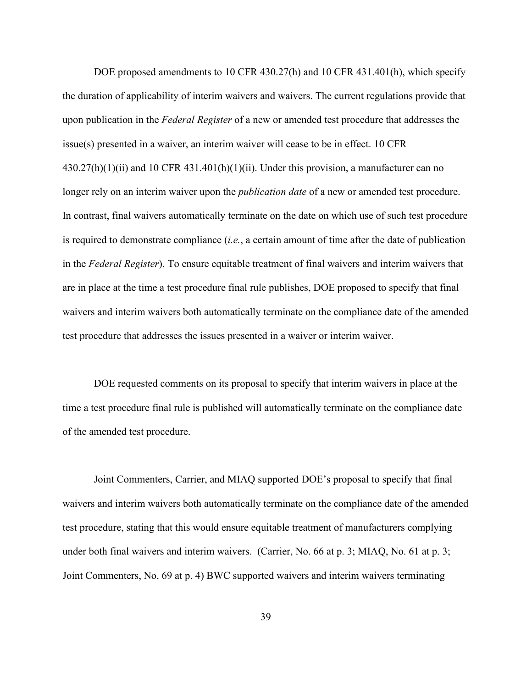DOE proposed amendments to 10 CFR 430.27(h) and 10 CFR 431.401(h), which specify the duration of applicability of interim waivers and waivers. The current regulations provide that upon publication in the *Federal Register* of a new or amended test procedure that addresses the issue(s) presented in a waiver, an interim waiver will cease to be in effect. 10 CFR  $430.27(h)(1)(ii)$  and 10 CFR  $431.401(h)(1)(ii)$ . Under this provision, a manufacturer can no longer rely on an interim waiver upon the *publication date* of a new or amended test procedure. In contrast, final waivers automatically terminate on the date on which use of such test procedure is required to demonstrate compliance (*i.e.*, a certain amount of time after the date of publication in the *Federal Register*). To ensure equitable treatment of final waivers and interim waivers that are in place at the time a test procedure final rule publishes, DOE proposed to specify that final waivers and interim waivers both automatically terminate on the compliance date of the amended test procedure that addresses the issues presented in a waiver or interim waiver.

DOE requested comments on its proposal to specify that interim waivers in place at the time a test procedure final rule is published will automatically terminate on the compliance date of the amended test procedure.

Joint Commenters, Carrier, and MIAQ supported DOE's proposal to specify that final waivers and interim waivers both automatically terminate on the compliance date of the amended test procedure, stating that this would ensure equitable treatment of manufacturers complying under both final waivers and interim waivers. (Carrier, No. 66 at p. 3; MIAQ, No. 61 at p. 3; Joint Commenters, No. 69 at p. 4) BWC supported waivers and interim waivers terminating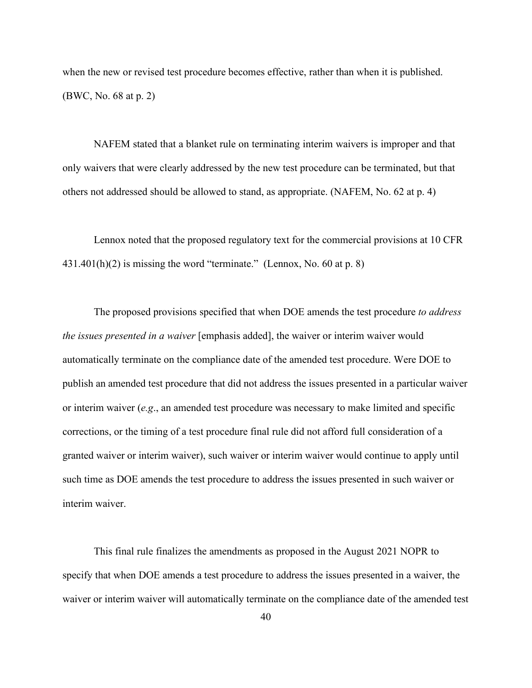when the new or revised test procedure becomes effective, rather than when it is published. (BWC, No. 68 at p. 2)

NAFEM stated that a blanket rule on terminating interim waivers is improper and that only waivers that were clearly addressed by the new test procedure can be terminated, but that others not addressed should be allowed to stand, as appropriate. (NAFEM, No. 62 at p. 4)

Lennox noted that the proposed regulatory text for the commercial provisions at 10 CFR  $431.401(h)(2)$  is missing the word "terminate." (Lennox, No. 60 at p. 8)

The proposed provisions specified that when DOE amends the test procedure *to address the issues presented in a waiver* [emphasis added], the waiver or interim waiver would automatically terminate on the compliance date of the amended test procedure. Were DOE to publish an amended test procedure that did not address the issues presented in a particular waiver or interim waiver (*e.g*., an amended test procedure was necessary to make limited and specific corrections, or the timing of a test procedure final rule did not afford full consideration of a granted waiver or interim waiver), such waiver or interim waiver would continue to apply until such time as DOE amends the test procedure to address the issues presented in such waiver or interim waiver.

This final rule finalizes the amendments as proposed in the August 2021 NOPR to specify that when DOE amends a test procedure to address the issues presented in a waiver, the waiver or interim waiver will automatically terminate on the compliance date of the amended test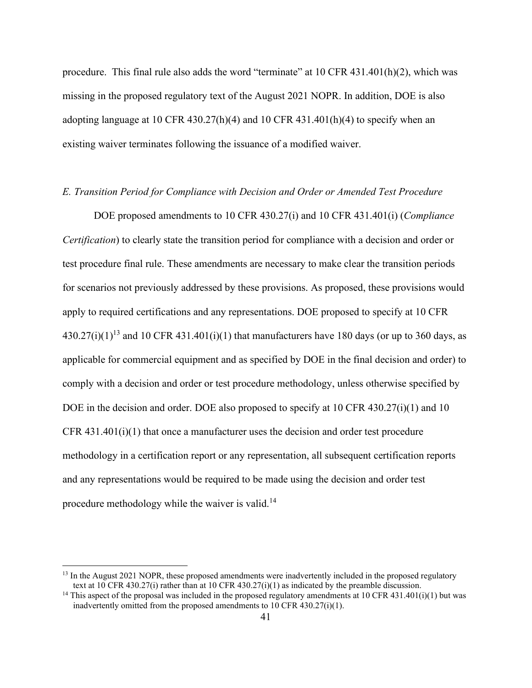procedure. This final rule also adds the word "terminate" at 10 CFR 431.401(h)(2), which was missing in the proposed regulatory text of the August 2021 NOPR. In addition, DOE is also adopting language at 10 CFR 430.27(h)(4) and 10 CFR 431.401(h)(4) to specify when an existing waiver terminates following the issuance of a modified waiver.

## *E. Transition Period for Compliance with Decision and Order or Amended Test Procedure*

DOE proposed amendments to 10 CFR 430.27(i) and 10 CFR 431.401(i) (*Compliance Certification*) to clearly state the transition period for compliance with a decision and order or test procedure final rule. These amendments are necessary to make clear the transition periods for scenarios not previously addressed by these provisions. As proposed, these provisions would apply to required certifications and any representations. DOE proposed to specify at 10 CFR  $430.27(i)(1)^{13}$  and 10 CFR  $431.401(i)(1)$  that manufacturers have 180 days (or up to 360 days, as applicable for commercial equipment and as specified by DOE in the final decision and order) to comply with a decision and order or test procedure methodology, unless otherwise specified by DOE in the decision and order. DOE also proposed to specify at 10 CFR 430.27(i)(1) and 10 CFR  $431.401(i)(1)$  that once a manufacturer uses the decision and order test procedure methodology in a certification report or any representation, all subsequent certification reports and any representations would be required to be made using the decision and order test procedure methodology while the waiver is valid.<sup>14</sup>

 $13$  In the August 2021 NOPR, these proposed amendments were inadvertently included in the proposed regulatory text at 10 CFR 430.27(i) rather than at 10 CFR 430.27(i)(1) as indicated by the preamble discussion.

<sup>&</sup>lt;sup>14</sup> This aspect of the proposal was included in the proposed regulatory amendments at 10 CFR 431.401(i)(1) but was inadvertently omitted from the proposed amendments to 10 CFR 430.27(i)(1).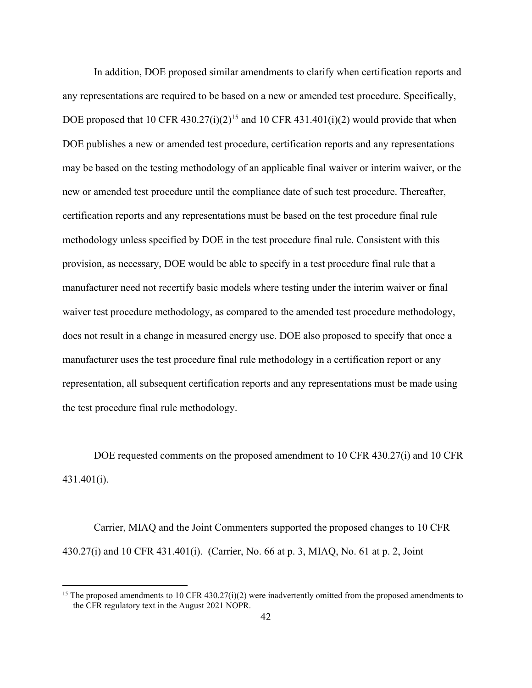In addition, DOE proposed similar amendments to clarify when certification reports and any representations are required to be based on a new or amended test procedure. Specifically, DOE proposed that 10 CFR 430.27(i)(2)<sup>15</sup> and 10 CFR 431.401(i)(2) would provide that when DOE publishes a new or amended test procedure, certification reports and any representations may be based on the testing methodology of an applicable final waiver or interim waiver, or the new or amended test procedure until the compliance date of such test procedure. Thereafter, certification reports and any representations must be based on the test procedure final rule methodology unless specified by DOE in the test procedure final rule. Consistent with this provision, as necessary, DOE would be able to specify in a test procedure final rule that a manufacturer need not recertify basic models where testing under the interim waiver or final waiver test procedure methodology, as compared to the amended test procedure methodology, does not result in a change in measured energy use. DOE also proposed to specify that once a manufacturer uses the test procedure final rule methodology in a certification report or any representation, all subsequent certification reports and any representations must be made using the test procedure final rule methodology.

DOE requested comments on the proposed amendment to 10 CFR 430.27(i) and 10 CFR 431.401(i).

Carrier, MIAQ and the Joint Commenters supported the proposed changes to 10 CFR 430.27(i) and 10 CFR 431.401(i). (Carrier, No. 66 at p. 3, MIAQ, No. 61 at p. 2, Joint

<sup>&</sup>lt;sup>15</sup> The proposed amendments to 10 CFR 430.27(i)(2) were inadvertently omitted from the proposed amendments to the CFR regulatory text in the August 2021 NOPR.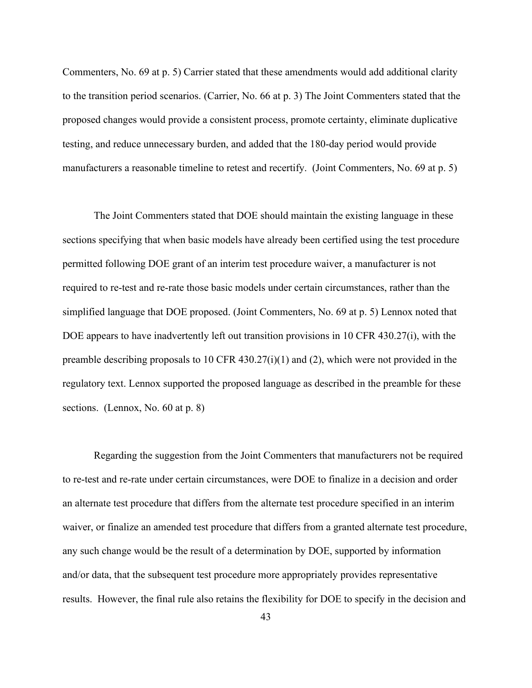Commenters, No. 69 at p. 5) Carrier stated that these amendments would add additional clarity to the transition period scenarios. (Carrier, No. 66 at p. 3) The Joint Commenters stated that the proposed changes would provide a consistent process, promote certainty, eliminate duplicative testing, and reduce unnecessary burden, and added that the 180-day period would provide manufacturers a reasonable timeline to retest and recertify. (Joint Commenters, No. 69 at p. 5)

The Joint Commenters stated that DOE should maintain the existing language in these sections specifying that when basic models have already been certified using the test procedure permitted following DOE grant of an interim test procedure waiver, a manufacturer is not required to re-test and re-rate those basic models under certain circumstances, rather than the simplified language that DOE proposed. (Joint Commenters, No. 69 at p. 5) Lennox noted that DOE appears to have inadvertently left out transition provisions in 10 CFR 430.27(i), with the preamble describing proposals to 10 CFR 430.27(i)(1) and (2), which were not provided in the regulatory text. Lennox supported the proposed language as described in the preamble for these sections. (Lennox, No. 60 at p. 8)

Regarding the suggestion from the Joint Commenters that manufacturers not be required to re-test and re-rate under certain circumstances, were DOE to finalize in a decision and order an alternate test procedure that differs from the alternate test procedure specified in an interim waiver, or finalize an amended test procedure that differs from a granted alternate test procedure, any such change would be the result of a determination by DOE, supported by information and/or data, that the subsequent test procedure more appropriately provides representative results. However, the final rule also retains the flexibility for DOE to specify in the decision and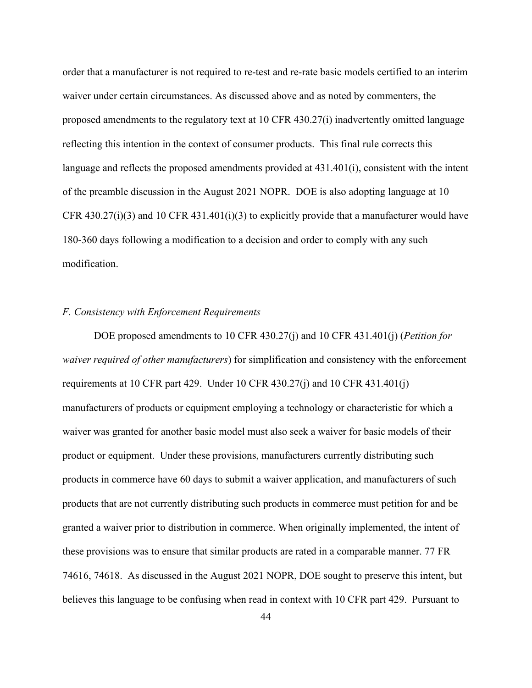order that a manufacturer is not required to re-test and re-rate basic models certified to an interim waiver under certain circumstances. As discussed above and as noted by commenters, the proposed amendments to the regulatory text at 10 CFR 430.27(i) inadvertently omitted language reflecting this intention in the context of consumer products. This final rule corrects this language and reflects the proposed amendments provided at 431.401(i), consistent with the intent of the preamble discussion in the August 2021 NOPR. DOE is also adopting language at 10 CFR 430.27(i)(3) and 10 CFR 431.401(i)(3) to explicitly provide that a manufacturer would have 180-360 days following a modification to a decision and order to comply with any such modification.

# *F. Consistency with Enforcement Requirements*

DOE proposed amendments to 10 CFR 430.27(j) and 10 CFR 431.401(j) (*Petition for waiver required of other manufacturers*) for simplification and consistency with the enforcement requirements at 10 CFR part 429. Under 10 CFR 430.27(j) and 10 CFR 431.401(j) manufacturers of products or equipment employing a technology or characteristic for which a waiver was granted for another basic model must also seek a waiver for basic models of their product or equipment. Under these provisions, manufacturers currently distributing such products in commerce have 60 days to submit a waiver application, and manufacturers of such products that are not currently distributing such products in commerce must petition for and be granted a waiver prior to distribution in commerce. When originally implemented, the intent of these provisions was to ensure that similar products are rated in a comparable manner. 77 FR 74616, 74618. As discussed in the August 2021 NOPR, DOE sought to preserve this intent, but believes this language to be confusing when read in context with 10 CFR part 429. Pursuant to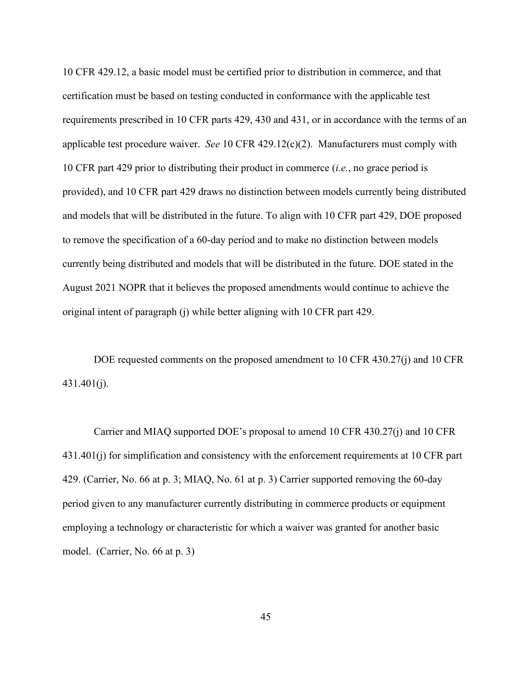10 CFR 429.12, a basic model must be certified prior to distribution in commerce, and that certification must be based on testing conducted in conformance with the applicable test requirements prescribed in 10 CFR parts 429, 430 and 431, or in accordance with the terms of an applicable test procedure waiver. *See* 10 CFR 429.12(c)(2). Manufacturers must comply with 10 CFR part 429 prior to distributing their product in commerce (*i.e.*, no grace period is provided), and 10 CFR part 429 draws no distinction between models currently being distributed and models that will be distributed in the future. To align with 10 CFR part 429, DOE proposed to remove the specification of a 60-day period and to make no distinction between models currently being distributed and models that will be distributed in the future. DOE stated in the August 2021 NOPR that it believes the proposed amendments would continue to achieve the original intent of paragraph (j) while better aligning with 10 CFR part 429.

DOE requested comments on the proposed amendment to 10 CFR 430.27(j) and 10 CFR  $431.401(i)$ .

Carrier and MIAQ supported DOE's proposal to amend 10 CFR 430.27(j) and 10 CFR 431.401(j) for simplification and consistency with the enforcement requirements at 10 CFR part 429. (Carrier, No. 66 at p. 3; MIAQ, No. 61 at p. 3) Carrier supported removing the 60-day period given to any manufacturer currently distributing in commerce products or equipment employing a technology or characteristic for which a waiver was granted for another basic model. (Carrier, No. 66 at p. 3)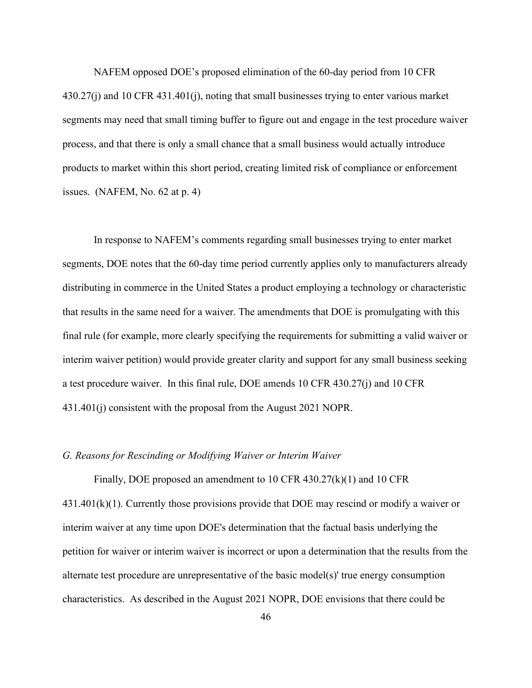NAFEM opposed DOE's proposed elimination of the 60-day period from 10 CFR 430.27(j) and 10 CFR 431.401(j), noting that small businesses trying to enter various market segments may need that small timing buffer to figure out and engage in the test procedure waiver process, and that there is only a small chance that a small business would actually introduce products to market within this short period, creating limited risk of compliance or enforcement issues. (NAFEM, No. 62 at p. 4)

In response to NAFEM's comments regarding small businesses trying to enter market segments, DOE notes that the 60-day time period currently applies only to manufacturers already distributing in commerce in the United States a product employing a technology or characteristic that results in the same need for a waiver. The amendments that DOE is promulgating with this final rule (for example, more clearly specifying the requirements for submitting a valid waiver or interim waiver petition) would provide greater clarity and support for any small business seeking a test procedure waiver. In this final rule, DOE amends 10 CFR 430.27(j) and 10 CFR 431.401(j) consistent with the proposal from the August 2021 NOPR.

## *G. Reasons for Rescinding or Modifying Waiver or Interim Waiver*

Finally, DOE proposed an amendment to 10 CFR 430.27(k)(1) and 10 CFR  $431.401(k)(1)$ . Currently those provisions provide that DOE may rescind or modify a waiver or interim waiver at any time upon DOE's determination that the factual basis underlying the petition for waiver or interim waiver is incorrect or upon a determination that the results from the alternate test procedure are unrepresentative of the basic model(s)' true energy consumption characteristics. As described in the August 2021 NOPR, DOE envisions that there could be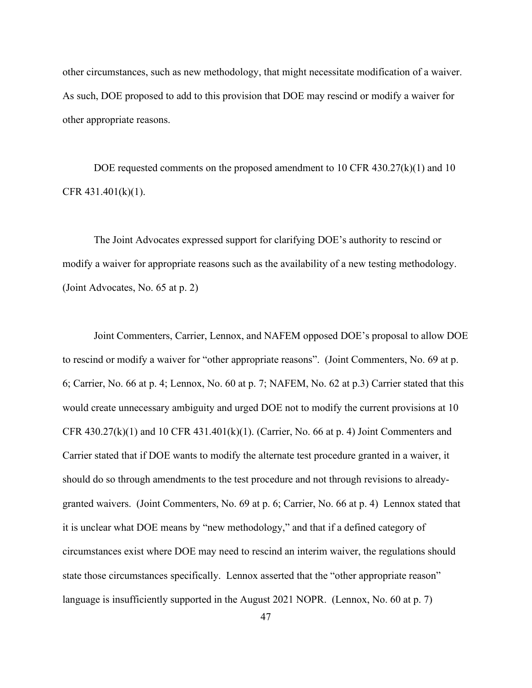other circumstances, such as new methodology, that might necessitate modification of a waiver. As such, DOE proposed to add to this provision that DOE may rescind or modify a waiver for other appropriate reasons.

DOE requested comments on the proposed amendment to 10 CFR 430.27(k)(1) and 10 CFR  $431.401(k)(1)$ .

The Joint Advocates expressed support for clarifying DOE's authority to rescind or modify a waiver for appropriate reasons such as the availability of a new testing methodology. (Joint Advocates, No. 65 at p. 2)

Joint Commenters, Carrier, Lennox, and NAFEM opposed DOE's proposal to allow DOE to rescind or modify a waiver for "other appropriate reasons". (Joint Commenters, No. 69 at p. 6; Carrier, No. 66 at p. 4; Lennox, No. 60 at p. 7; NAFEM, No. 62 at p.3) Carrier stated that this would create unnecessary ambiguity and urged DOE not to modify the current provisions at 10 CFR  $430.27(k)(1)$  and  $10$  CFR  $431.401(k)(1)$ . (Carrier, No. 66 at p. 4) Joint Commenters and Carrier stated that if DOE wants to modify the alternate test procedure granted in a waiver, it should do so through amendments to the test procedure and not through revisions to alreadygranted waivers. (Joint Commenters, No. 69 at p. 6; Carrier, No. 66 at p. 4) Lennox stated that it is unclear what DOE means by "new methodology," and that if a defined category of circumstances exist where DOE may need to rescind an interim waiver, the regulations should state those circumstances specifically. Lennox asserted that the "other appropriate reason" language is insufficiently supported in the August 2021 NOPR. (Lennox, No. 60 at p. 7)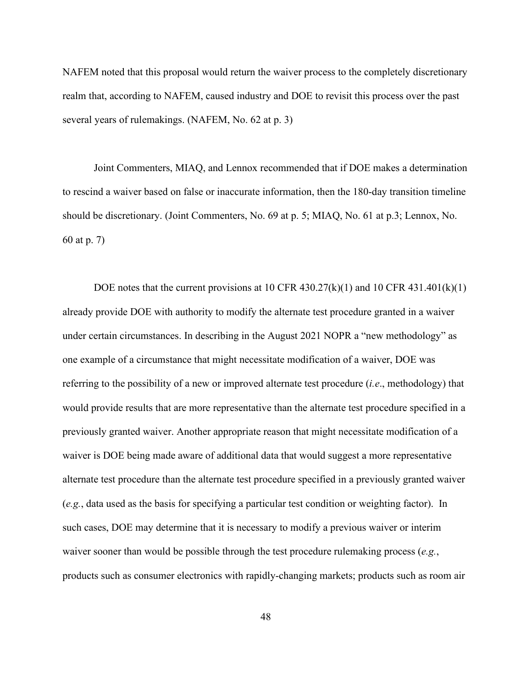NAFEM noted that this proposal would return the waiver process to the completely discretionary realm that, according to NAFEM, caused industry and DOE to revisit this process over the past several years of rulemakings. (NAFEM, No. 62 at p. 3)

Joint Commenters, MIAQ, and Lennox recommended that if DOE makes a determination to rescind a waiver based on false or inaccurate information, then the 180-day transition timeline should be discretionary. (Joint Commenters, No. 69 at p. 5; MIAQ, No. 61 at p.3; Lennox, No. 60 at p. 7)

DOE notes that the current provisions at 10 CFR 430.27 $(k)(1)$  and 10 CFR 431.401 $(k)(1)$ already provide DOE with authority to modify the alternate test procedure granted in a waiver under certain circumstances. In describing in the August 2021 NOPR a "new methodology" as one example of a circumstance that might necessitate modification of a waiver, DOE was referring to the possibility of a new or improved alternate test procedure (*i.e*., methodology) that would provide results that are more representative than the alternate test procedure specified in a previously granted waiver. Another appropriate reason that might necessitate modification of a waiver is DOE being made aware of additional data that would suggest a more representative alternate test procedure than the alternate test procedure specified in a previously granted waiver (*e.g.*, data used as the basis for specifying a particular test condition or weighting factor). In such cases, DOE may determine that it is necessary to modify a previous waiver or interim waiver sooner than would be possible through the test procedure rulemaking process (*e.g.*, products such as consumer electronics with rapidly-changing markets; products such as room air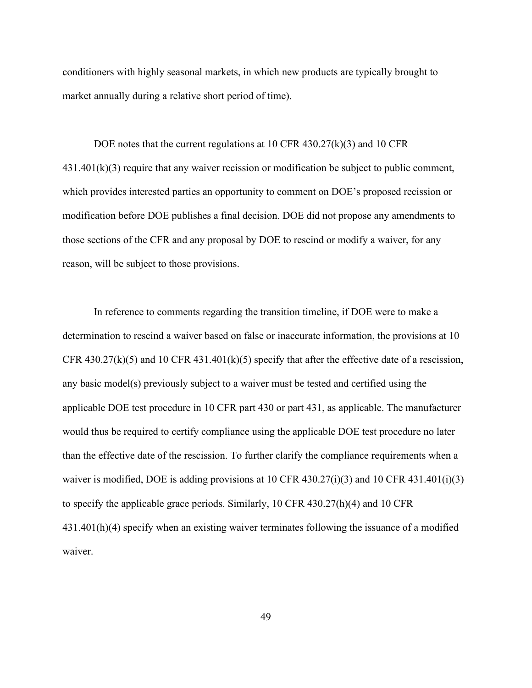conditioners with highly seasonal markets, in which new products are typically brought to market annually during a relative short period of time).

DOE notes that the current regulations at 10 CFR 430.27(k)(3) and 10 CFR  $431.401(k)(3)$  require that any waiver recission or modification be subject to public comment, which provides interested parties an opportunity to comment on DOE's proposed recission or modification before DOE publishes a final decision. DOE did not propose any amendments to those sections of the CFR and any proposal by DOE to rescind or modify a waiver, for any reason, will be subject to those provisions.

In reference to comments regarding the transition timeline, if DOE were to make a determination to rescind a waiver based on false or inaccurate information, the provisions at 10 CFR 430.27 $(k)(5)$  and 10 CFR 431.401 $(k)(5)$  specify that after the effective date of a rescission, any basic model(s) previously subject to a waiver must be tested and certified using the applicable DOE test procedure in 10 CFR part 430 or part 431, as applicable. The manufacturer would thus be required to certify compliance using the applicable DOE test procedure no later than the effective date of the rescission. To further clarify the compliance requirements when a waiver is modified, DOE is adding provisions at 10 CFR 430.27(i)(3) and 10 CFR 431.401(i)(3) to specify the applicable grace periods. Similarly, 10 CFR 430.27(h)(4) and 10 CFR 431.401(h)(4) specify when an existing waiver terminates following the issuance of a modified waiver.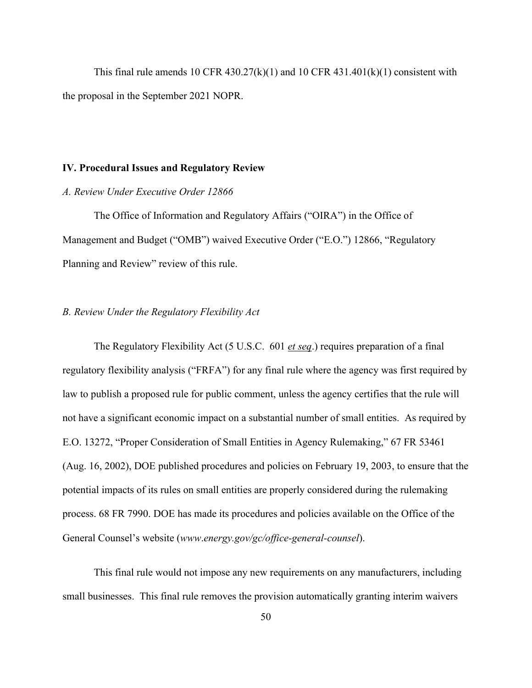This final rule amends 10 CFR  $430.27(k)(1)$  and 10 CFR  $431.401(k)(1)$  consistent with the proposal in the September 2021 NOPR.

#### **IV. Procedural Issues and Regulatory Review**

# *A. Review Under Executive Order 12866*

The Office of Information and Regulatory Affairs ("OIRA") in the Office of Management and Budget ("OMB") waived Executive Order ("E.O.") 12866, "Regulatory Planning and Review" review of this rule.

## *B. Review Under the Regulatory Flexibility Act*

The Regulatory Flexibility Act (5 U.S.C. 601 *et seq*.) requires preparation of a final regulatory flexibility analysis ("FRFA") for any final rule where the agency was first required by law to publish a proposed rule for public comment, unless the agency certifies that the rule will not have a significant economic impact on a substantial number of small entities. As required by E.O. 13272, "Proper Consideration of Small Entities in Agency Rulemaking," 67 FR 53461 (Aug. 16, 2002), DOE published procedures and policies on February 19, 2003, to ensure that the potential impacts of its rules on small entities are properly considered during the rulemaking process. 68 FR 7990. DOE has made its procedures and policies available on the Office of the General Counsel's website (*www*.*[energy.gov/gc/office-general-counsel](http://www.energy.gov/gc/office-general-counsel))*).

This final rule would not impose any new requirements on any manufacturers, including small businesses. This final rule removes the provision automatically granting interim waivers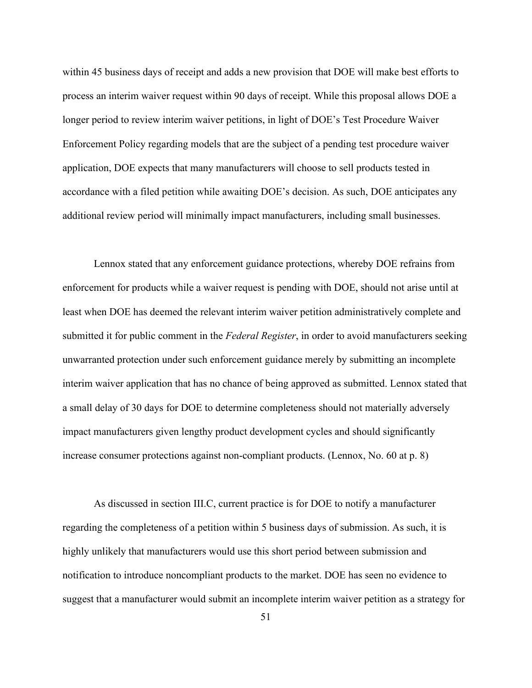within 45 business days of receipt and adds a new provision that DOE will make best efforts to process an interim waiver request within 90 days of receipt. While this proposal allows DOE a longer period to review interim waiver petitions, in light of DOE's Test Procedure Waiver Enforcement Policy regarding models that are the subject of a pending test procedure waiver application, DOE expects that many manufacturers will choose to sell products tested in accordance with a filed petition while awaiting DOE's decision. As such, DOE anticipates any additional review period will minimally impact manufacturers, including small businesses.

Lennox stated that any enforcement guidance protections, whereby DOE refrains from enforcement for products while a waiver request is pending with DOE, should not arise until at least when DOE has deemed the relevant interim waiver petition administratively complete and submitted it for public comment in the *Federal Register*, in order to avoid manufacturers seeking unwarranted protection under such enforcement guidance merely by submitting an incomplete interim waiver application that has no chance of being approved as submitted. Lennox stated that a small delay of 30 days for DOE to determine completeness should not materially adversely impact manufacturers given lengthy product development cycles and should significantly increase consumer protections against non-compliant products. (Lennox, No. 60 at p. 8)

As discussed in section III.C, current practice is for DOE to notify a manufacturer regarding the completeness of a petition within 5 business days of submission. As such, it is highly unlikely that manufacturers would use this short period between submission and notification to introduce noncompliant products to the market. DOE has seen no evidence to suggest that a manufacturer would submit an incomplete interim waiver petition as a strategy for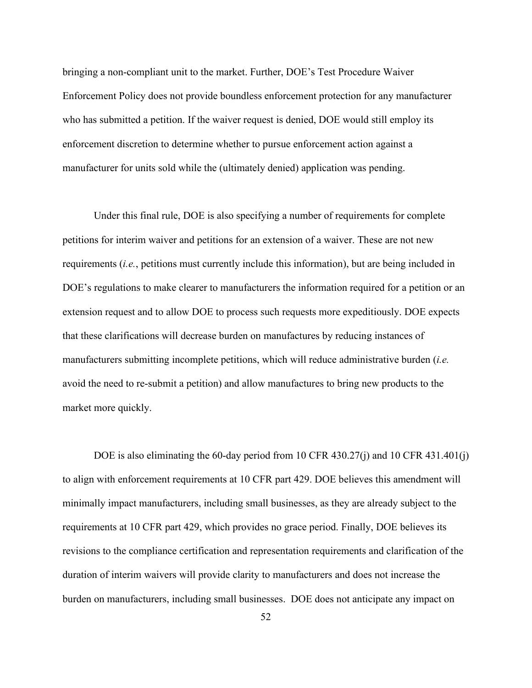bringing a non-compliant unit to the market. Further, DOE's Test Procedure Waiver Enforcement Policy does not provide boundless enforcement protection for any manufacturer who has submitted a petition. If the waiver request is denied, DOE would still employ its enforcement discretion to determine whether to pursue enforcement action against a manufacturer for units sold while the (ultimately denied) application was pending.

Under this final rule, DOE is also specifying a number of requirements for complete petitions for interim waiver and petitions for an extension of a waiver. These are not new requirements (*i.e.*, petitions must currently include this information), but are being included in DOE's regulations to make clearer to manufacturers the information required for a petition or an extension request and to allow DOE to process such requests more expeditiously. DOE expects that these clarifications will decrease burden on manufactures by reducing instances of manufacturers submitting incomplete petitions, which will reduce administrative burden (*i.e.* avoid the need to re-submit a petition) and allow manufactures to bring new products to the market more quickly.

DOE is also eliminating the 60-day period from 10 CFR 430.27(j) and 10 CFR 431.401(j) to align with enforcement requirements at 10 CFR part 429. DOE believes this amendment will minimally impact manufacturers, including small businesses, as they are already subject to the requirements at 10 CFR part 429, which provides no grace period. Finally, DOE believes its revisions to the compliance certification and representation requirements and clarification of the duration of interim waivers will provide clarity to manufacturers and does not increase the burden on manufacturers, including small businesses. DOE does not anticipate any impact on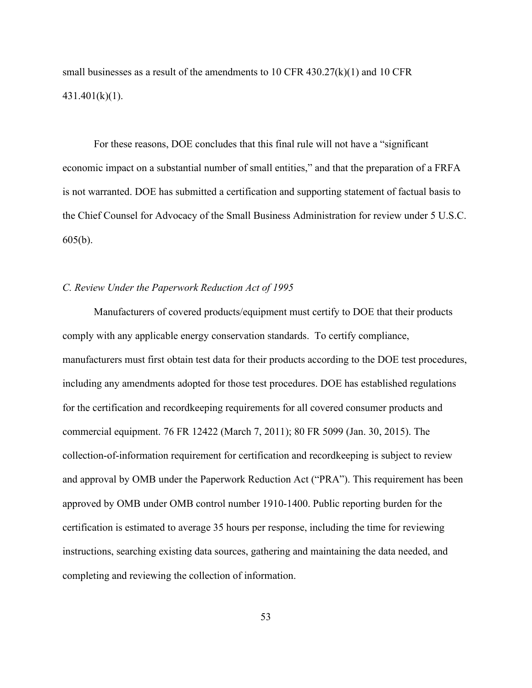small businesses as a result of the amendments to 10 CFR  $430.27(k)(1)$  and 10 CFR 431.401(k)(1).

For these reasons, DOE concludes that this final rule will not have a "significant economic impact on a substantial number of small entities," and that the preparation of a FRFA is not warranted. DOE has submitted a certification and supporting statement of factual basis to the Chief Counsel for Advocacy of the Small Business Administration for review under 5 U.S.C. 605(b).

# *C. Review Under the Paperwork Reduction Act of 1995*

Manufacturers of covered products/equipment must certify to DOE that their products comply with any applicable energy conservation standards. To certify compliance, manufacturers must first obtain test data for their products according to the DOE test procedures, including any amendments adopted for those test procedures. DOE has established regulations for the certification and recordkeeping requirements for all covered consumer products and commercial equipment. 76 FR 12422 (March 7, 2011); 80 FR 5099 (Jan. 30, 2015). The collection-of-information requirement for certification and recordkeeping is subject to review and approval by OMB under the Paperwork Reduction Act ("PRA"). This requirement has been approved by OMB under OMB control number 1910-1400. Public reporting burden for the certification is estimated to average 35 hours per response, including the time for reviewing instructions, searching existing data sources, gathering and maintaining the data needed, and completing and reviewing the collection of information.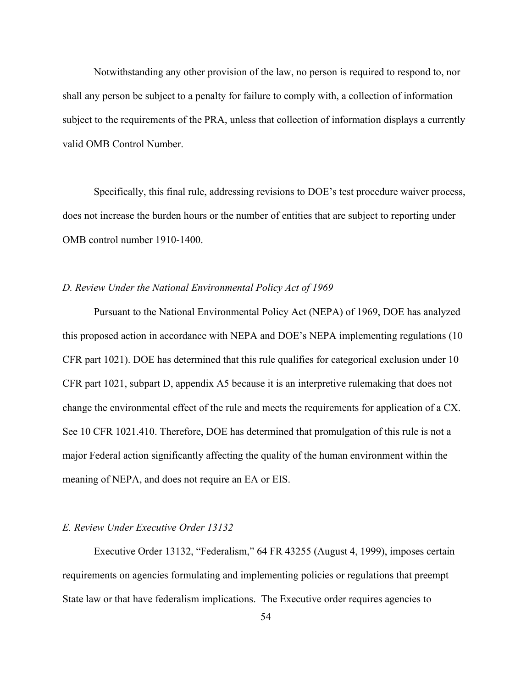Notwithstanding any other provision of the law, no person is required to respond to, nor shall any person be subject to a penalty for failure to comply with, a collection of information subject to the requirements of the PRA, unless that collection of information displays a currently valid OMB Control Number.

Specifically, this final rule, addressing revisions to DOE's test procedure waiver process, does not increase the burden hours or the number of entities that are subject to reporting under OMB control number 1910-1400.

#### *D. Review Under the National Environmental Policy Act of 1969*

Pursuant to the National Environmental Policy Act (NEPA) of 1969, DOE has analyzed this proposed action in accordance with NEPA and DOE's NEPA implementing regulations (10 CFR part 1021). DOE has determined that this rule qualifies for categorical exclusion under 10 CFR part 1021, subpart D, appendix A5 because it is an interpretive rulemaking that does not change the environmental effect of the rule and meets the requirements for application of a CX. See 10 CFR 1021.410. Therefore, DOE has determined that promulgation of this rule is not a major Federal action significantly affecting the quality of the human environment within the meaning of NEPA, and does not require an EA or EIS.

## *E. Review Under Executive Order 13132*

Executive Order 13132, "Federalism," 64 FR 43255 (August 4, 1999), imposes certain requirements on agencies formulating and implementing policies or regulations that preempt State law or that have federalism implications. The Executive order requires agencies to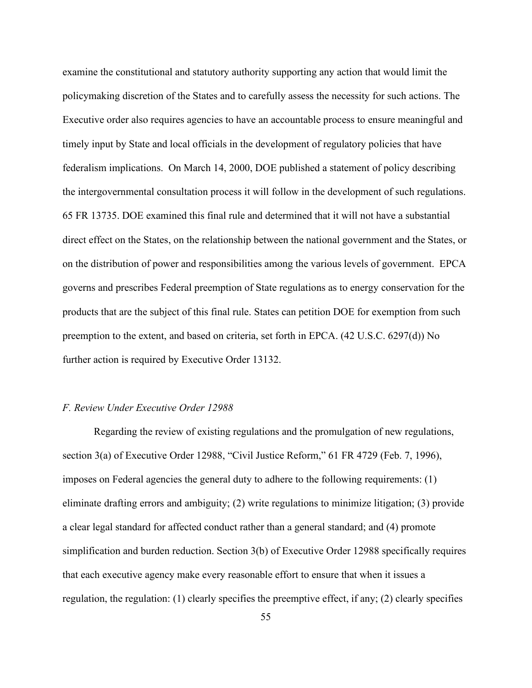examine the constitutional and statutory authority supporting any action that would limit the policymaking discretion of the States and to carefully assess the necessity for such actions. The Executive order also requires agencies to have an accountable process to ensure meaningful and timely input by State and local officials in the development of regulatory policies that have federalism implications. On March 14, 2000, DOE published a statement of policy describing the intergovernmental consultation process it will follow in the development of such regulations. 65 FR 13735. DOE examined this final rule and determined that it will not have a substantial direct effect on the States, on the relationship between the national government and the States, or on the distribution of power and responsibilities among the various levels of government. EPCA governs and prescribes Federal preemption of State regulations as to energy conservation for the products that are the subject of this final rule. States can petition DOE for exemption from such preemption to the extent, and based on criteria, set forth in EPCA. (42 U.S.C. 6297(d)) No further action is required by Executive Order 13132.

## *F. Review Under Executive Order 12988*

Regarding the review of existing regulations and the promulgation of new regulations, section 3(a) of Executive Order 12988, "Civil Justice Reform," 61 FR 4729 (Feb. 7, 1996), imposes on Federal agencies the general duty to adhere to the following requirements: (1) eliminate drafting errors and ambiguity; (2) write regulations to minimize litigation; (3) provide a clear legal standard for affected conduct rather than a general standard; and (4) promote simplification and burden reduction. Section 3(b) of Executive Order 12988 specifically requires that each executive agency make every reasonable effort to ensure that when it issues a regulation, the regulation: (1) clearly specifies the preemptive effect, if any; (2) clearly specifies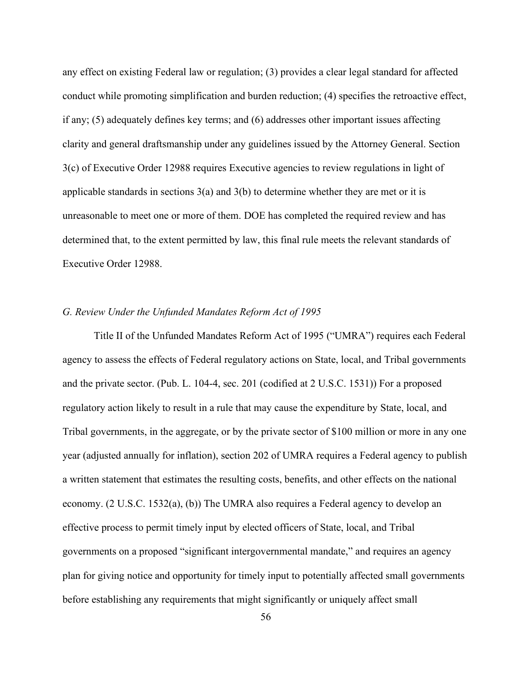any effect on existing Federal law or regulation; (3) provides a clear legal standard for affected conduct while promoting simplification and burden reduction; (4) specifies the retroactive effect, if any; (5) adequately defines key terms; and (6) addresses other important issues affecting clarity and general draftsmanship under any guidelines issued by the Attorney General. Section 3(c) of Executive Order 12988 requires Executive agencies to review regulations in light of applicable standards in sections  $3(a)$  and  $3(b)$  to determine whether they are met or it is unreasonable to meet one or more of them. DOE has completed the required review and has determined that, to the extent permitted by law, this final rule meets the relevant standards of Executive Order 12988.

## *G. Review Under the Unfunded Mandates Reform Act of 1995*

Title II of the Unfunded Mandates Reform Act of 1995 ("UMRA") requires each Federal agency to assess the effects of Federal regulatory actions on State, local, and Tribal governments and the private sector. (Pub. L. 104-4, sec. 201 (codified at 2 U.S.C. 1531)) For a proposed regulatory action likely to result in a rule that may cause the expenditure by State, local, and Tribal governments, in the aggregate, or by the private sector of \$100 million or more in any one year (adjusted annually for inflation), section 202 of UMRA requires a Federal agency to publish a written statement that estimates the resulting costs, benefits, and other effects on the national economy. (2 U.S.C. 1532(a), (b)) The UMRA also requires a Federal agency to develop an effective process to permit timely input by elected officers of State, local, and Tribal governments on a proposed "significant intergovernmental mandate," and requires an agency plan for giving notice and opportunity for timely input to potentially affected small governments before establishing any requirements that might significantly or uniquely affect small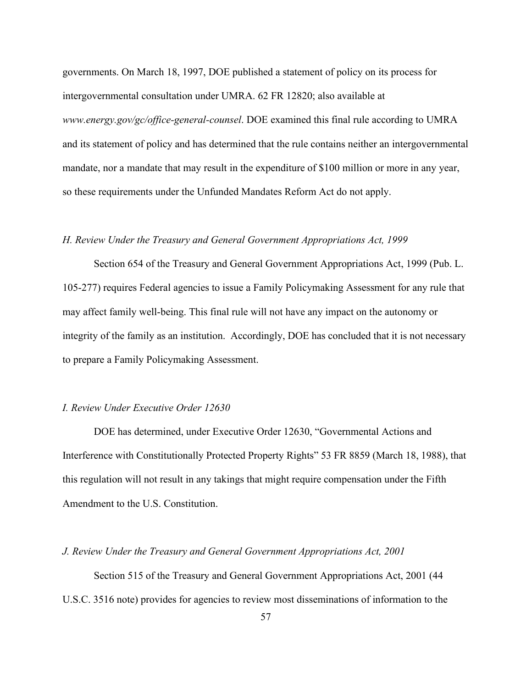governments. On March 18, 1997, DOE published a statement of policy on its process for intergovernmental consultation under UMRA. 62 FR 12820; also available at *[www.energy.gov/gc/office-general-counsel](http://www.energy.gov/gc/office-general-counsel)*. DOE examined this final rule according to UMRA and its statement of policy and has determined that the rule contains neither an intergovernmental mandate, nor a mandate that may result in the expenditure of \$100 million or more in any year, so these requirements under the Unfunded Mandates Reform Act do not apply.

## *H. Review Under the Treasury and General Government Appropriations Act, 1999*

Section 654 of the Treasury and General Government Appropriations Act, 1999 (Pub. L. 105-277) requires Federal agencies to issue a Family Policymaking Assessment for any rule that may affect family well-being. This final rule will not have any impact on the autonomy or integrity of the family as an institution. Accordingly, DOE has concluded that it is not necessary to prepare a Family Policymaking Assessment.

# *I. Review Under Executive Order 12630*

DOE has determined, under Executive Order 12630, "Governmental Actions and Interference with Constitutionally Protected Property Rights" 53 FR 8859 (March 18, 1988), that this regulation will not result in any takings that might require compensation under the Fifth Amendment to the U.S. Constitution.

*J. Review Under the Treasury and General Government Appropriations Act, 2001*

Section 515 of the Treasury and General Government Appropriations Act, 2001 (44 U.S.C. 3516 note) provides for agencies to review most disseminations of information to the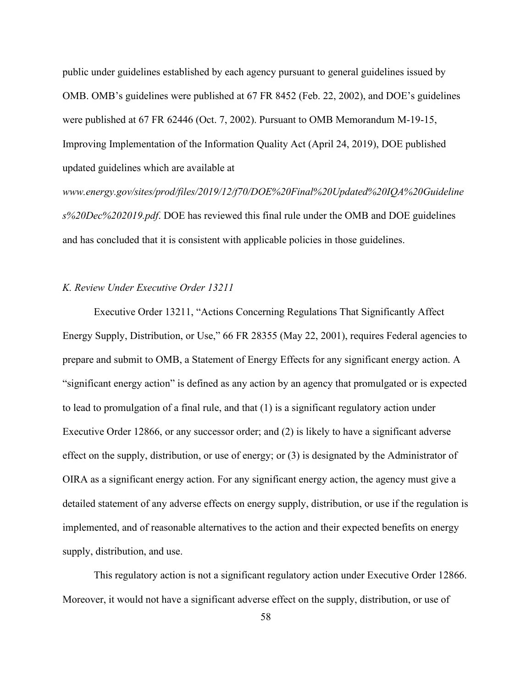public under guidelines established by each agency pursuant to general guidelines issued by OMB. OMB's guidelines were published at 67 FR 8452 (Feb. 22, 2002), and DOE's guidelines were published at 67 FR 62446 (Oct. 7, 2002). Pursuant to OMB Memorandum M-19-15, Improving Implementation of the Information Quality Act (April 24, 2019), DOE published updated guidelines which are available at

*[www.energy.gov/sites/prod/files/2019/12/f70/DOE%20Final%20Updated%20IQA%20Guideline](http://www.energy.gov/sites/prod/files/2019/12/f70/DOE%20Final%20Updated%20IQA%20Guideline) s%20Dec%202019.pdf*. DOE has reviewed this final rule under the OMB and DOE guidelines and has concluded that it is consistent with applicable policies in those guidelines.

# *K. Review Under Executive Order 13211*

Executive Order 13211, "Actions Concerning Regulations That Significantly Affect Energy Supply, Distribution, or Use," 66 FR 28355 (May 22, 2001), requires Federal agencies to prepare and submit to OMB, a Statement of Energy Effects for any significant energy action. A "significant energy action" is defined as any action by an agency that promulgated or is expected to lead to promulgation of a final rule, and that (1) is a significant regulatory action under Executive Order 12866, or any successor order; and (2) is likely to have a significant adverse effect on the supply, distribution, or use of energy; or (3) is designated by the Administrator of OIRA as a significant energy action. For any significant energy action, the agency must give a detailed statement of any adverse effects on energy supply, distribution, or use if the regulation is implemented, and of reasonable alternatives to the action and their expected benefits on energy supply, distribution, and use.

This regulatory action is not a significant regulatory action under Executive Order 12866. Moreover, it would not have a significant adverse effect on the supply, distribution, or use of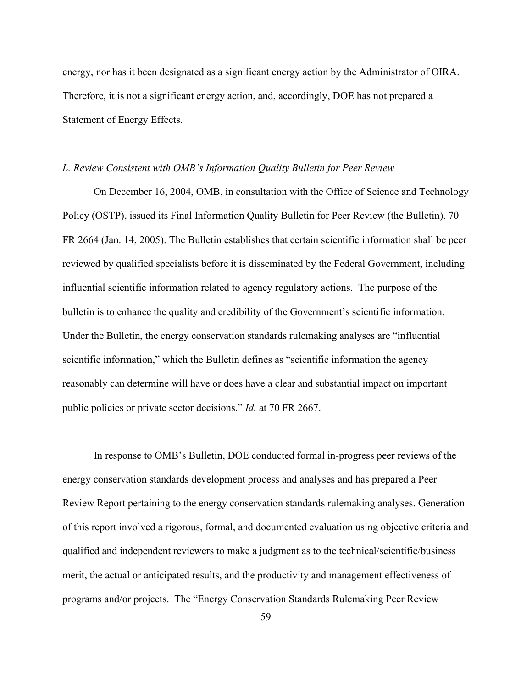energy, nor has it been designated as a significant energy action by the Administrator of OIRA. Therefore, it is not a significant energy action, and, accordingly, DOE has not prepared a Statement of Energy Effects.

#### *L. Review Consistent with OMB's Information Quality Bulletin for Peer Review*

On December 16, 2004, OMB, in consultation with the Office of Science and Technology Policy (OSTP), issued its Final Information Quality Bulletin for Peer Review (the Bulletin). 70 FR 2664 (Jan. 14, 2005). The Bulletin establishes that certain scientific information shall be peer reviewed by qualified specialists before it is disseminated by the Federal Government, including influential scientific information related to agency regulatory actions. The purpose of the bulletin is to enhance the quality and credibility of the Government's scientific information. Under the Bulletin, the energy conservation standards rulemaking analyses are "influential scientific information," which the Bulletin defines as "scientific information the agency reasonably can determine will have or does have a clear and substantial impact on important public policies or private sector decisions." *Id.* at 70 FR 2667.

In response to OMB's Bulletin, DOE conducted formal in-progress peer reviews of the energy conservation standards development process and analyses and has prepared a Peer Review Report pertaining to the energy conservation standards rulemaking analyses. Generation of this report involved a rigorous, formal, and documented evaluation using objective criteria and qualified and independent reviewers to make a judgment as to the technical/scientific/business merit, the actual or anticipated results, and the productivity and management effectiveness of programs and/or projects. The "Energy Conservation Standards Rulemaking Peer Review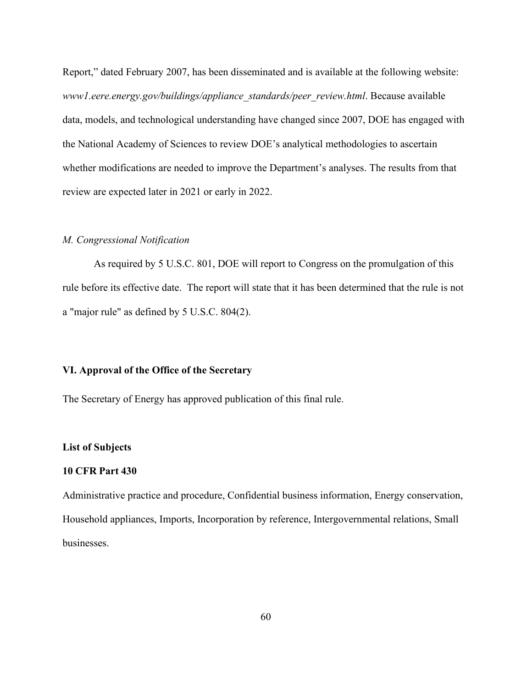Report," dated February 2007, has been disseminated and is available at the following website: *www1.eere.energy.gov/buildings/appliance\_standards/peer\_review.html*. Because available data, models, and technological understanding have changed since 2007, DOE has engaged with the National Academy of Sciences to review DOE's analytical methodologies to ascertain whether modifications are needed to improve the Department's analyses. The results from that review are expected later in 2021 or early in 2022.

# *M. Congressional Notification*

As required by 5 U.S.C. 801, DOE will report to Congress on the promulgation of this rule before its effective date. The report will state that it has been determined that the rule is not a "major rule" as defined by 5 U.S.C. 804(2).

#### **VI. Approval of the Office of the Secretary**

The Secretary of Energy has approved publication of this final rule.

#### **List of Subjects**

## **10 CFR Part 430**

Administrative practice and procedure, Confidential business information, Energy conservation, Household appliances, Imports, Incorporation by reference, Intergovernmental relations, Small businesses.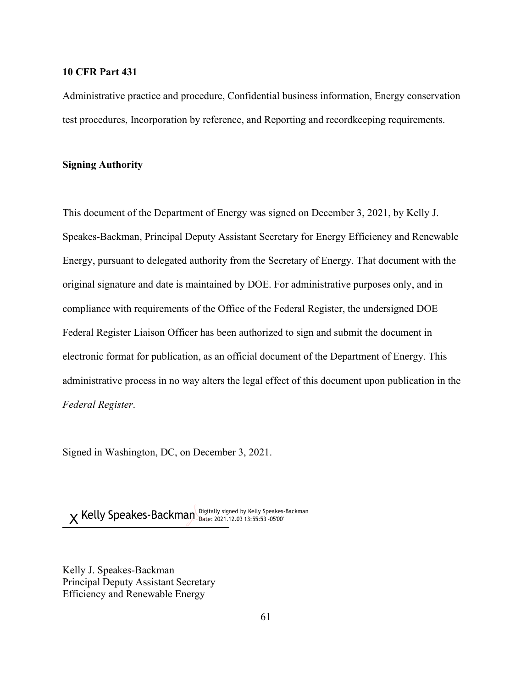# **10 CFR Part 431**

Administrative practice and procedure, Confidential business information, Energy conservation test procedures, Incorporation by reference, and Reporting and recordkeeping requirements.

## **Signing Authority**

This document of the Department of Energy was signed on December 3, 2021, by Kelly J. Speakes-Backman, Principal Deputy Assistant Secretary for Energy Efficiency and Renewable Energy, pursuant to delegated authority from the Secretary of Energy. That document with the original signature and date is maintained by DOE. For administrative purposes only, and in compliance with requirements of the Office of the Federal Register, the undersigned DOE Federal Register Liaison Officer has been authorized to sign and submit the document in electronic format for publication, as an official document of the Department of Energy. This administrative process in no way alters the legal effect of this document upon publication in the *Federal Register*.

Signed in Washington, DC, on December 3, 2021.

Digitally signed by Kelly Speakes-Backman X Kelly Speakes-Backman Digitally signed by Kelly Speakes

Kelly J. Speakes-Backman Principal Deputy Assistant Secretary Efficiency and Renewable Energy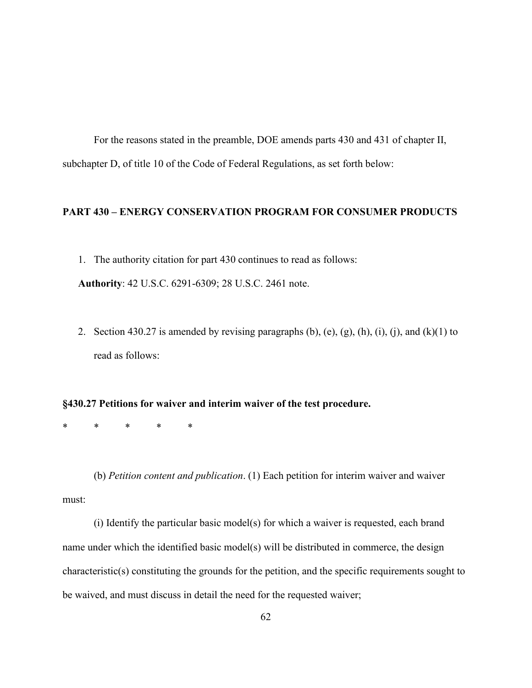For the reasons stated in the preamble, DOE amends parts 430 and 431 of chapter II, subchapter D, of title 10 of the Code of Federal Regulations, as set forth below:

## **PART 430 – ENERGY CONSERVATION PROGRAM FOR CONSUMER PRODUCTS**

- 1. The authority citation for part 430 continues to read as follows: **Authority**: 42 U.S.C. 6291-6309; 28 U.S.C. 2461 note.
- 2. Section 430.27 is amended by revising paragraphs  $(b)$ ,  $(e)$ ,  $(g)$ ,  $(h)$ ,  $(i)$ ,  $(j)$ , and  $(k)(1)$  to read as follows:

#### **§430.27 Petitions for waiver and interim waiver of the test procedure.**

\* \* \* \* \*

(b) *Petition content and publication*. (1) Each petition for interim waiver and waiver must:

(i) Identify the particular basic model(s) for which a waiver is requested, each brand name under which the identified basic model(s) will be distributed in commerce, the design characteristic(s) constituting the grounds for the petition, and the specific requirements sought to be waived, and must discuss in detail the need for the requested waiver;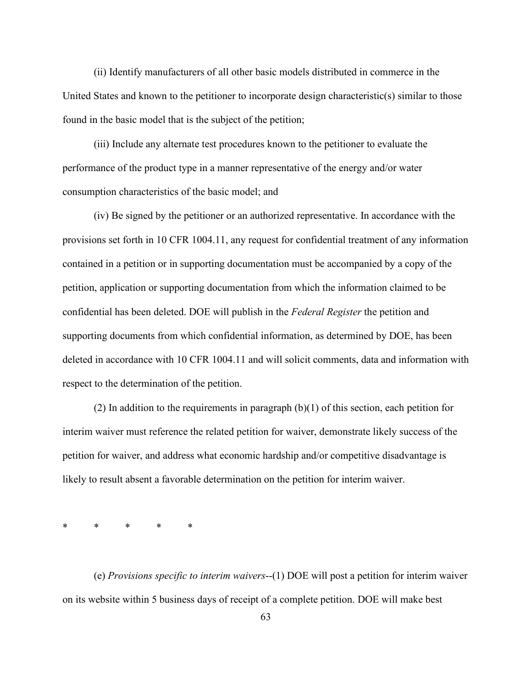(ii) Identify manufacturers of all other basic models distributed in commerce in the United States and known to the petitioner to incorporate design characteristic(s) similar to those found in the basic model that is the subject of the petition;

(iii) Include any alternate test procedures known to the petitioner to evaluate the performance of the product type in a manner representative of the energy and/or water consumption characteristics of the basic model; and

(iv) Be signed by the petitioner or an authorized representative. In accordance with the provisions set forth in 10 CFR 1004.11, any request for confidential treatment of any information contained in a petition or in supporting documentation must be accompanied by a copy of the petition, application or supporting documentation from which the information claimed to be confidential has been deleted. DOE will publish in the *Federal Register* the petition and supporting documents from which confidential information, as determined by DOE, has been deleted in accordance with 10 CFR 1004.11 and will solicit comments, data and information with respect to the determination of the petition.

(2) In addition to the requirements in paragraph (b)(1) of this section, each petition for interim waiver must reference the related petition for waiver, demonstrate likely success of the petition for waiver, and address what economic hardship and/or competitive disadvantage is likely to result absent a favorable determination on the petition for interim waiver.

\* \* \* \* \*

(e) *Provisions specific to interim waivers*--(1) DOE will post a petition for interim waiver on its website within 5 business days of receipt of a complete petition. DOE will make best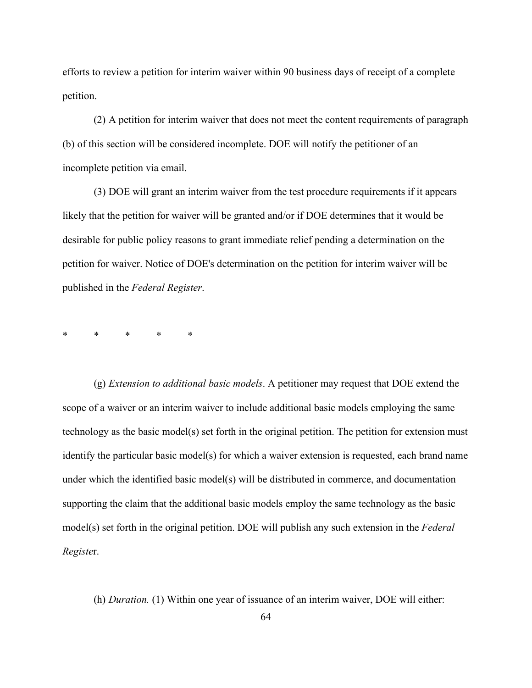efforts to review a petition for interim waiver within 90 business days of receipt of a complete petition.

(2) A petition for interim waiver that does not meet the content requirements of paragraph (b) of this section will be considered incomplete. DOE will notify the petitioner of an incomplete petition via email.

(3) DOE will grant an interim waiver from the test procedure requirements if it appears likely that the petition for waiver will be granted and/or if DOE determines that it would be desirable for public policy reasons to grant immediate relief pending a determination on the petition for waiver. Notice of DOE's determination on the petition for interim waiver will be published in the *Federal Register*.

\* \* \* \* \*

(g) *Extension to additional basic models*. A petitioner may request that DOE extend the scope of a waiver or an interim waiver to include additional basic models employing the same technology as the basic model(s) set forth in the original petition. The petition for extension must identify the particular basic model(s) for which a waiver extension is requested, each brand name under which the identified basic model(s) will be distributed in commerce, and documentation supporting the claim that the additional basic models employ the same technology as the basic model(s) set forth in the original petition. DOE will publish any such extension in the *Federal Registe*r.

(h) *Duration.* (1) Within one year of issuance of an interim waiver, DOE will either: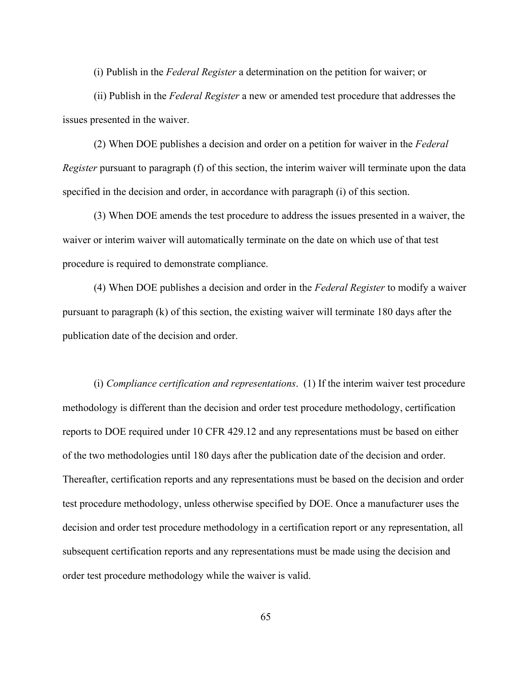(i) Publish in the *Federal Register* a determination on the petition for waiver; or

(ii) Publish in the *Federal Register* a new or amended test procedure that addresses the issues presented in the waiver.

(2) When DOE publishes a decision and order on a petition for waiver in the *Federal Register* pursuant to paragraph (f) of this section, the interim waiver will terminate upon the data specified in the decision and order, in accordance with paragraph (i) of this section.

(3) When DOE amends the test procedure to address the issues presented in a waiver, the waiver or interim waiver will automatically terminate on the date on which use of that test procedure is required to demonstrate compliance.

(4) When DOE publishes a decision and order in the *Federal Register* to modify a waiver pursuant to paragraph (k) of this section, the existing waiver will terminate 180 days after the publication date of the decision and order.

(i) *Compliance certification and representations*. (1) If the interim waiver test procedure methodology is different than the decision and order test procedure methodology, certification reports to DOE required under 10 CFR 429.12 and any representations must be based on either of the two methodologies until 180 days after the publication date of the decision and order. Thereafter, certification reports and any representations must be based on the decision and order test procedure methodology, unless otherwise specified by DOE. Once a manufacturer uses the decision and order test procedure methodology in a certification report or any representation, all subsequent certification reports and any representations must be made using the decision and order test procedure methodology while the waiver is valid.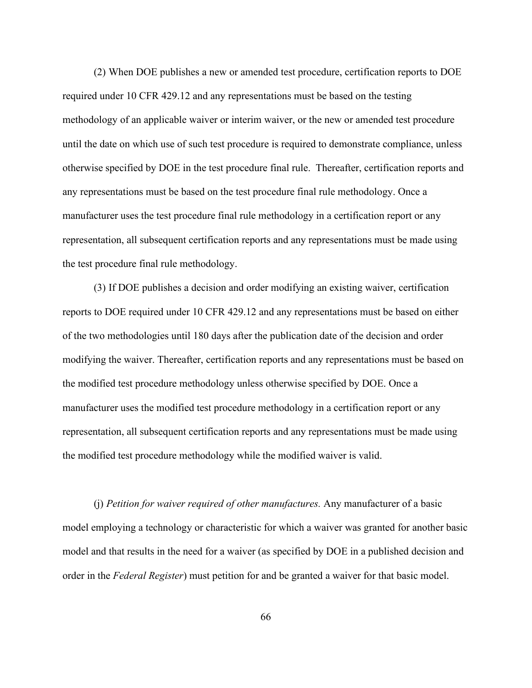(2) When DOE publishes a new or amended test procedure, certification reports to DOE required under 10 CFR 429.12 and any representations must be based on the testing methodology of an applicable waiver or interim waiver, or the new or amended test procedure until the date on which use of such test procedure is required to demonstrate compliance, unless otherwise specified by DOE in the test procedure final rule. Thereafter, certification reports and any representations must be based on the test procedure final rule methodology. Once a manufacturer uses the test procedure final rule methodology in a certification report or any representation, all subsequent certification reports and any representations must be made using the test procedure final rule methodology.

(3) If DOE publishes a decision and order modifying an existing waiver, certification reports to DOE required under 10 CFR 429.12 and any representations must be based on either of the two methodologies until 180 days after the publication date of the decision and order modifying the waiver. Thereafter, certification reports and any representations must be based on the modified test procedure methodology unless otherwise specified by DOE. Once a manufacturer uses the modified test procedure methodology in a certification report or any representation, all subsequent certification reports and any representations must be made using the modified test procedure methodology while the modified waiver is valid.

(j) *Petition for waiver required of other manufactures.* Any manufacturer of a basic model employing a technology or characteristic for which a waiver was granted for another basic model and that results in the need for a waiver (as specified by DOE in a published decision and order in the *Federal Register*) must petition for and be granted a waiver for that basic model.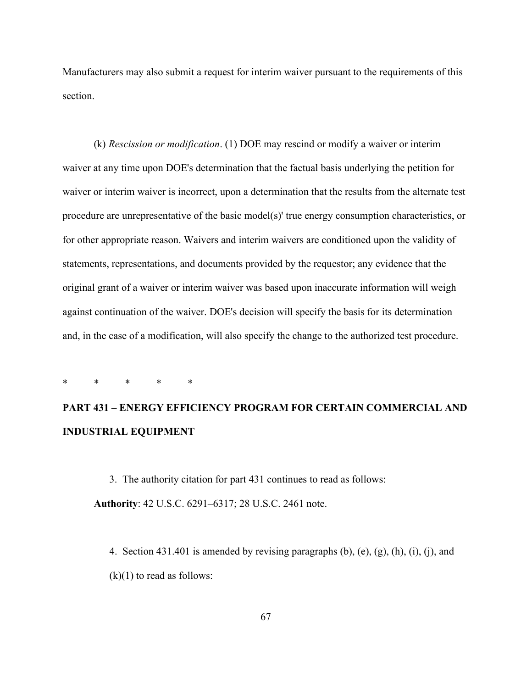Manufacturers may also submit a request for interim waiver pursuant to the requirements of this section.

(k) *Rescission or modification*. (1) DOE may rescind or modify a waiver or interim waiver at any time upon DOE's determination that the factual basis underlying the petition for waiver or interim waiver is incorrect, upon a determination that the results from the alternate test procedure are unrepresentative of the basic model(s)' true energy consumption characteristics, or for other appropriate reason. Waivers and interim waivers are conditioned upon the validity of statements, representations, and documents provided by the requestor; any evidence that the original grant of a waiver or interim waiver was based upon inaccurate information will weigh against continuation of the waiver. DOE's decision will specify the basis for its determination and, in the case of a modification, will also specify the change to the authorized test procedure.

\* \* \* \* \*

# **PART 431 – ENERGY EFFICIENCY PROGRAM FOR CERTAIN COMMERCIAL AND INDUSTRIAL EQUIPMENT**

3. The authority citation for part 431 continues to read as follows: **Authority**: 42 U.S.C. 6291–6317; 28 U.S.C. 2461 note.

4. Section 431.401 is amended by revising paragraphs (b), (e), (g), (h), (i), (j), and  $(k)(1)$  to read as follows: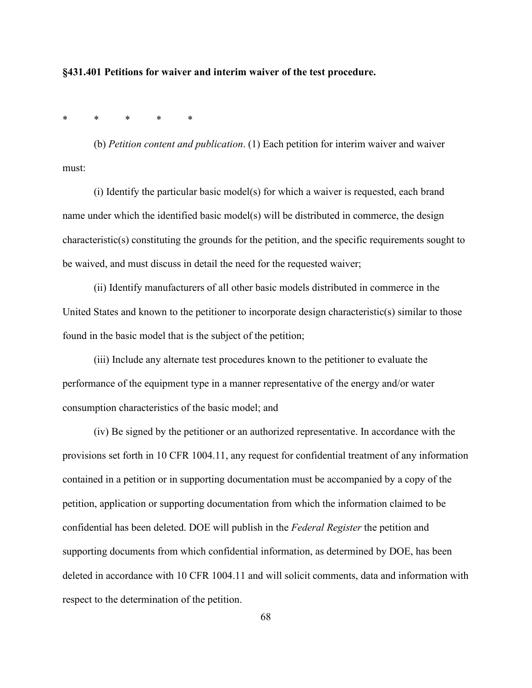**§431.401 Petitions for waiver and interim waiver of the test procedure.**

\* \* \* \* \*

(b) *Petition content and publication*. (1) Each petition for interim waiver and waiver must:

(i) Identify the particular basic model(s) for which a waiver is requested, each brand name under which the identified basic model(s) will be distributed in commerce, the design characteristic(s) constituting the grounds for the petition, and the specific requirements sought to be waived, and must discuss in detail the need for the requested waiver;

(ii) Identify manufacturers of all other basic models distributed in commerce in the United States and known to the petitioner to incorporate design characteristic(s) similar to those found in the basic model that is the subject of the petition;

(iii) Include any alternate test procedures known to the petitioner to evaluate the performance of the equipment type in a manner representative of the energy and/or water consumption characteristics of the basic model; and

(iv) Be signed by the petitioner or an authorized representative. In accordance with the provisions set forth in 10 CFR 1004.11, any request for confidential treatment of any information contained in a petition or in supporting documentation must be accompanied by a copy of the petition, application or supporting documentation from which the information claimed to be confidential has been deleted. DOE will publish in the *Federal Register* the petition and supporting documents from which confidential information, as determined by DOE, has been deleted in accordance with 10 CFR 1004.11 and will solicit comments, data and information with respect to the determination of the petition.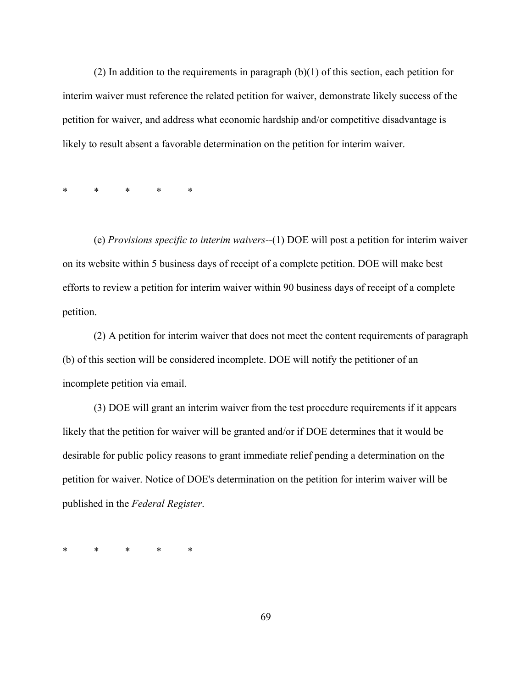(2) In addition to the requirements in paragraph (b)(1) of this section, each petition for interim waiver must reference the related petition for waiver, demonstrate likely success of the petition for waiver, and address what economic hardship and/or competitive disadvantage is likely to result absent a favorable determination on the petition for interim waiver.

\* \* \* \* \*

(e) *Provisions specific to interim waivers--*(1) DOE will post a petition for interim waiver on its website within 5 business days of receipt of a complete petition. DOE will make best efforts to review a petition for interim waiver within 90 business days of receipt of a complete petition.

(2) A petition for interim waiver that does not meet the content requirements of paragraph (b) of this section will be considered incomplete. DOE will notify the petitioner of an incomplete petition via email.

(3) DOE will grant an interim waiver from the test procedure requirements if it appears likely that the petition for waiver will be granted and/or if DOE determines that it would be desirable for public policy reasons to grant immediate relief pending a determination on the petition for waiver. Notice of DOE's determination on the petition for interim waiver will be published in the *Federal Register*.

\* \* \* \* \*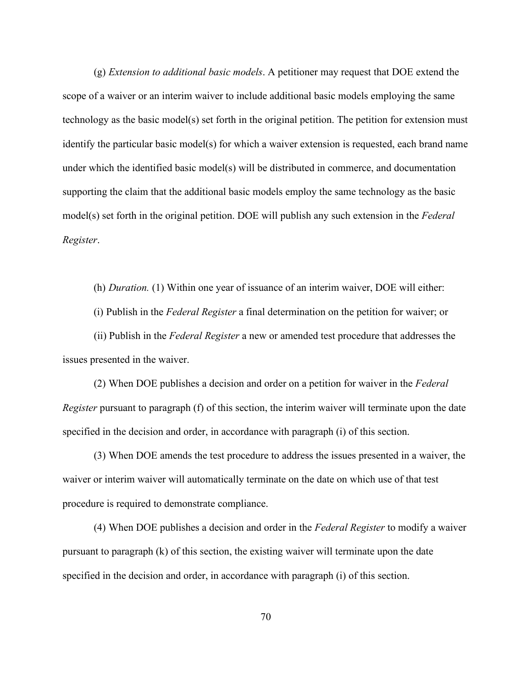(g) *Extension to additional basic models*. A petitioner may request that DOE extend the scope of a waiver or an interim waiver to include additional basic models employing the same technology as the basic model(s) set forth in the original petition. The petition for extension must identify the particular basic model(s) for which a waiver extension is requested, each brand name under which the identified basic model(s) will be distributed in commerce, and documentation supporting the claim that the additional basic models employ the same technology as the basic model(s) set forth in the original petition. DOE will publish any such extension in the *Federal Register*.

(h) *Duration.* (1) Within one year of issuance of an interim waiver, DOE will either: (i) Publish in the *Federal Register* a final determination on the petition for waiver; or (ii) Publish in the *Federal Register* a new or amended test procedure that addresses the issues presented in the waiver.

(2) When DOE publishes a decision and order on a petition for waiver in the *Federal Register* pursuant to paragraph (f) of this section, the interim waiver will terminate upon the date specified in the decision and order, in accordance with paragraph (i) of this section.

(3) When DOE amends the test procedure to address the issues presented in a waiver, the waiver or interim waiver will automatically terminate on the date on which use of that test procedure is required to demonstrate compliance.

(4) When DOE publishes a decision and order in the *Federal Register* to modify a waiver pursuant to paragraph (k) of this section, the existing waiver will terminate upon the date specified in the decision and order, in accordance with paragraph (i) of this section.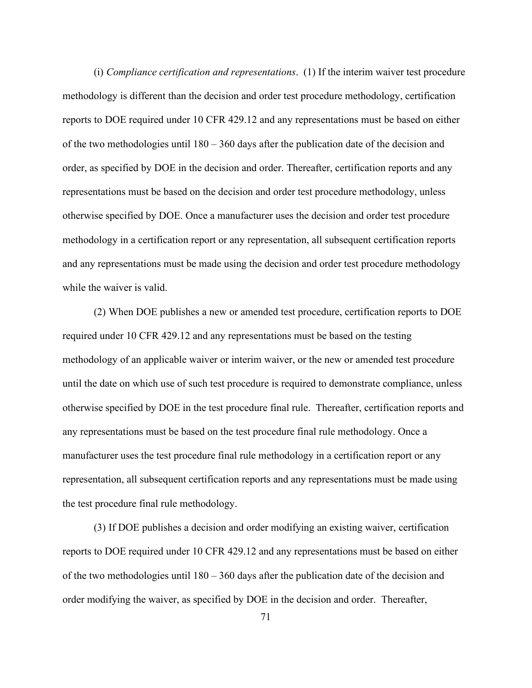(i) *Compliance certification and representations*. (1) If the interim waiver test procedure methodology is different than the decision and order test procedure methodology, certification reports to DOE required under 10 CFR 429.12 and any representations must be based on either of the two methodologies until 180 – 360 days after the publication date of the decision and order, as specified by DOE in the decision and order. Thereafter, certification reports and any representations must be based on the decision and order test procedure methodology, unless otherwise specified by DOE. Once a manufacturer uses the decision and order test procedure methodology in a certification report or any representation, all subsequent certification reports and any representations must be made using the decision and order test procedure methodology while the waiver is valid.

(2) When DOE publishes a new or amended test procedure, certification reports to DOE required under 10 CFR 429.12 and any representations must be based on the testing methodology of an applicable waiver or interim waiver, or the new or amended test procedure until the date on which use of such test procedure is required to demonstrate compliance, unless otherwise specified by DOE in the test procedure final rule. Thereafter, certification reports and any representations must be based on the test procedure final rule methodology. Once a manufacturer uses the test procedure final rule methodology in a certification report or any representation, all subsequent certification reports and any representations must be made using the test procedure final rule methodology.

(3) If DOE publishes a decision and order modifying an existing waiver, certification reports to DOE required under 10 CFR 429.12 and any representations must be based on either of the two methodologies until 180 – 360 days after the publication date of the decision and order modifying the waiver, as specified by DOE in the decision and order. Thereafter,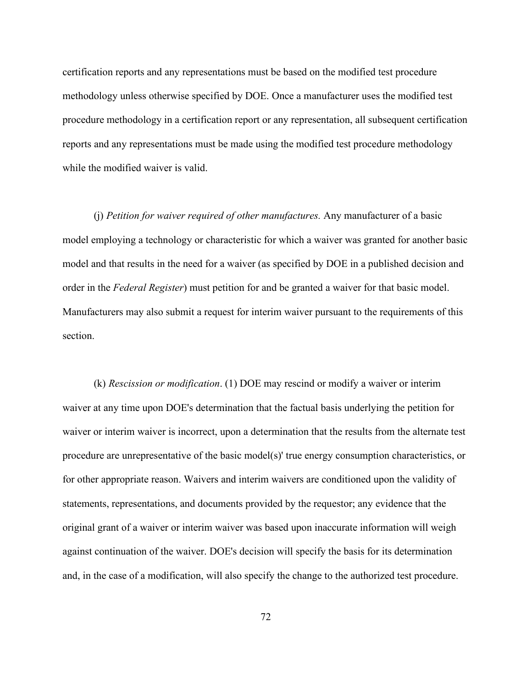certification reports and any representations must be based on the modified test procedure methodology unless otherwise specified by DOE. Once a manufacturer uses the modified test procedure methodology in a certification report or any representation, all subsequent certification reports and any representations must be made using the modified test procedure methodology while the modified waiver is valid.

(j) *Petition for waiver required of other manufactures.* Any manufacturer of a basic model employing a technology or characteristic for which a waiver was granted for another basic model and that results in the need for a waiver (as specified by DOE in a published decision and order in the *Federal Register*) must petition for and be granted a waiver for that basic model. Manufacturers may also submit a request for interim waiver pursuant to the requirements of this section.

(k) *Rescission or modification*. (1) DOE may rescind or modify a waiver or interim waiver at any time upon DOE's determination that the factual basis underlying the petition for waiver or interim waiver is incorrect, upon a determination that the results from the alternate test procedure are unrepresentative of the basic model(s)' true energy consumption characteristics, or for other appropriate reason. Waivers and interim waivers are conditioned upon the validity of statements, representations, and documents provided by the requestor; any evidence that the original grant of a waiver or interim waiver was based upon inaccurate information will weigh against continuation of the waiver. DOE's decision will specify the basis for its determination and, in the case of a modification, will also specify the change to the authorized test procedure.